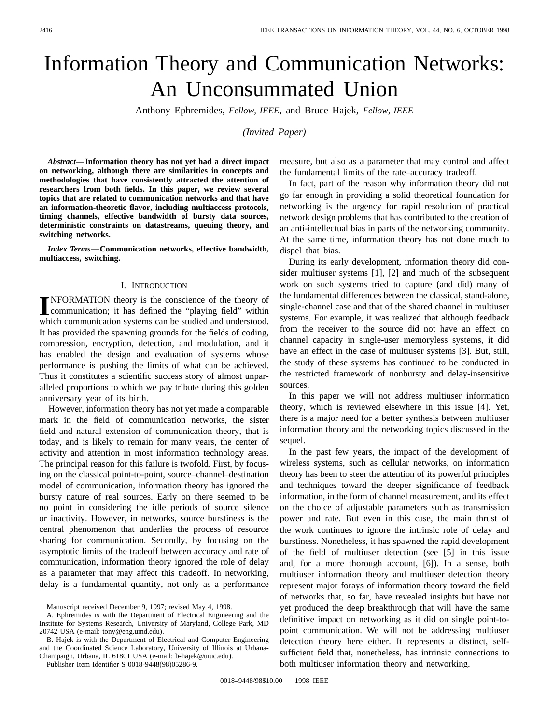# Information Theory and Communication Networks: An Unconsummated Union

Anthony Ephremides, *Fellow, IEEE*, and Bruce Hajek, *Fellow, IEEE*

*(Invited Paper)*

*Abstract—***Information theory has not yet had a direct impact on networking, although there are similarities in concepts and methodologies that have consistently attracted the attention of researchers from both fields. In this paper, we review several topics that are related to communication networks and that have an information-theoretic flavor, including multiaccess protocols, timing channels, effective bandwidth of bursty data sources, deterministic constraints on datastreams, queuing theory, and switching networks.**

*Index Terms—***Communication networks, effective bandwidth, multiaccess, switching.**

#### I. INTRODUCTION

**I**NFORMATION theory is the conscience of the theory of communication; it has defined the "playing field" within NFORMATION theory is the conscience of the theory of which communication systems can be studied and understood. It has provided the spawning grounds for the fields of coding, compression, encryption, detection, and modulation, and it has enabled the design and evaluation of systems whose performance is pushing the limits of what can be achieved. Thus it constitutes a scientific success story of almost unparalleled proportions to which we pay tribute during this golden anniversary year of its birth.

However, information theory has not yet made a comparable mark in the field of communication networks, the sister field and natural extension of communication theory, that is today, and is likely to remain for many years, the center of activity and attention in most information technology areas. The principal reason for this failure is twofold. First, by focusing on the classical point-to-point, source–channel–destination model of communication, information theory has ignored the bursty nature of real sources. Early on there seemed to be no point in considering the idle periods of source silence or inactivity. However, in networks, source burstiness is the central phenomenon that underlies the process of resource sharing for communication. Secondly, by focusing on the asymptotic limits of the tradeoff between accuracy and rate of communication, information theory ignored the role of delay as a parameter that may affect this tradeoff. In networking, delay is a fundamental quantity, not only as a performance

measure, but also as a parameter that may control and affect the fundamental limits of the rate–accuracy tradeoff.

In fact, part of the reason why information theory did not go far enough in providing a solid theoretical foundation for networking is the urgency for rapid resolution of practical network design problems that has contributed to the creation of an anti-intellectual bias in parts of the networking community. At the same time, information theory has not done much to dispel that bias.

During its early development, information theory did consider multiuser systems [1], [2] and much of the subsequent work on such systems tried to capture (and did) many of the fundamental differences between the classical, stand-alone, single-channel case and that of the shared channel in multiuser systems. For example, it was realized that although feedback from the receiver to the source did not have an effect on channel capacity in single-user memoryless systems, it did have an effect in the case of multiuser systems [3]. But, still, the study of these systems has continued to be conducted in the restricted framework of nonbursty and delay-insensitive sources.

In this paper we will not address multiuser information theory, which is reviewed elsewhere in this issue [4]. Yet, there is a major need for a better synthesis between multiuser information theory and the networking topics discussed in the sequel.

In the past few years, the impact of the development of wireless systems, such as cellular networks, on information theory has been to steer the attention of its powerful principles and techniques toward the deeper significance of feedback information, in the form of channel measurement, and its effect on the choice of adjustable parameters such as transmission power and rate. But even in this case, the main thrust of the work continues to ignore the intrinsic role of delay and burstiness. Nonetheless, it has spawned the rapid development of the field of multiuser detection (see [5] in this issue and, for a more thorough account, [6]). In a sense, both multiuser information theory and multiuser detection theory represent major forays of information theory toward the field of networks that, so far, have revealed insights but have not yet produced the deep breakthrough that will have the same definitive impact on networking as it did on single point-topoint communication. We will not be addressing multiuser detection theory here either. It represents a distinct, selfsufficient field that, nonetheless, has intrinsic connections to both multiuser information theory and networking.

Manuscript received December 9, 1997; revised May 4, 1998.

A. Ephremides is with the Department of Electrical Engineering and the Institute for Systems Research, University of Maryland, College Park, MD 20742 USA (e-mail: tony@eng.umd.edu).

B. Hajek is with the Department of Electrical and Computer Engineering and the Coordinated Science Laboratory, University of Illinois at Urbana-Champaign, Urbana, IL 61801 USA (e-mail: b-hajek@uiuc.edu).

Publisher Item Identifier S 0018-9448(98)05286-9.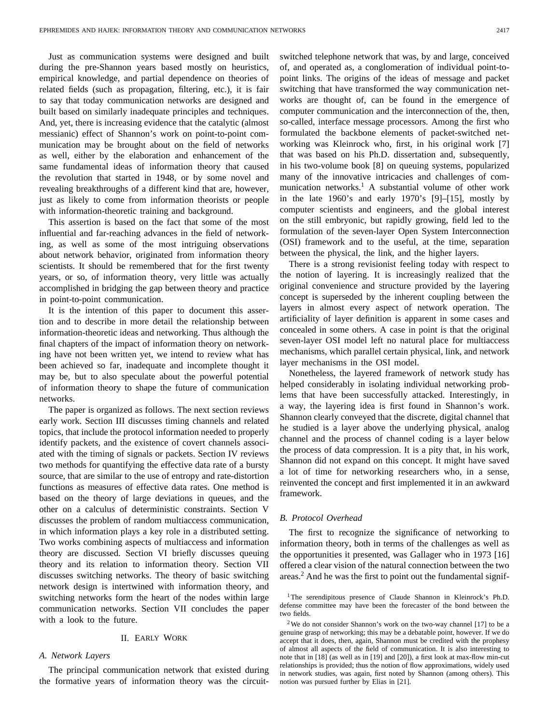Just as communication systems were designed and built during the pre-Shannon years based mostly on heuristics, empirical knowledge, and partial dependence on theories of related fields (such as propagation, filtering, etc.), it is fair to say that today communication networks are designed and built based on similarly inadequate principles and techniques. And, yet, there is increasing evidence that the catalytic (almost messianic) effect of Shannon's work on point-to-point communication may be brought about on the field of networks as well, either by the elaboration and enhancement of the same fundamental ideas of information theory that caused the revolution that started in 1948, or by some novel and revealing breakthroughs of a different kind that are, however, just as likely to come from information theorists or people with information-theoretic training and background.

This assertion is based on the fact that some of the most influential and far-reaching advances in the field of networking, as well as some of the most intriguing observations about network behavior, originated from information theory scientists. It should be remembered that for the first twenty years, or so, of information theory, very little was actually accomplished in bridging the gap between theory and practice in point-to-point communication.

It is the intention of this paper to document this assertion and to describe in more detail the relationship between information-theoretic ideas and networking. Thus although the final chapters of the impact of information theory on networking have not been written yet, we intend to review what has been achieved so far, inadequate and incomplete thought it may be, but to also speculate about the powerful potential of information theory to shape the future of communication networks.

The paper is organized as follows. The next section reviews early work. Section III discusses timing channels and related topics, that include the protocol information needed to properly identify packets, and the existence of covert channels associated with the timing of signals or packets. Section IV reviews two methods for quantifying the effective data rate of a bursty source, that are similar to the use of entropy and rate-distortion functions as measures of effective data rates. One method is based on the theory of large deviations in queues, and the other on a calculus of deterministic constraints. Section V discusses the problem of random multiaccess communication, in which information plays a key role in a distributed setting. Two works combining aspects of multiaccess and information theory are discussed. Section VI briefly discusses queuing theory and its relation to information theory. Section VII discusses switching networks. The theory of basic switching network design is intertwined with information theory, and switching networks form the heart of the nodes within large communication networks. Section VII concludes the paper with a look to the future.

#### II. EARLY WORK

#### *A. Network Layers*

The principal communication network that existed during the formative years of information theory was the circuitswitched telephone network that was, by and large, conceived of, and operated as, a conglomeration of individual point-topoint links. The origins of the ideas of message and packet switching that have transformed the way communication networks are thought of, can be found in the emergence of computer communication and the interconnection of the, then, so-called, interface message processors. Among the first who formulated the backbone elements of packet-switched networking was Kleinrock who, first, in his original work [7] that was based on his Ph.D. dissertation and, subsequently, in his two-volume book [8] on queuing systems, popularized many of the innovative intricacies and challenges of communication networks.<sup>1</sup> A substantial volume of other work in the late 1960's and early 1970's [9]–[15], mostly by computer scientists and engineers, and the global interest on the still embryonic, but rapidly growing, field led to the formulation of the seven-layer Open System Interconnection (OSI) framework and to the useful, at the time, separation between the physical, the link, and the higher layers.

There is a strong revisionist feeling today with respect to the notion of layering. It is increasingly realized that the original convenience and structure provided by the layering concept is superseded by the inherent coupling between the layers in almost every aspect of network operation. The artificiality of layer definition is apparent in some cases and concealed in some others. A case in point is that the original seven-layer OSI model left no natural place for multiaccess mechanisms, which parallel certain physical, link, and network layer mechanisms in the OSI model.

Nonetheless, the layered framework of network study has helped considerably in isolating individual networking problems that have been successfully attacked. Interestingly, in a way, the layering idea is first found in Shannon's work. Shannon clearly conveyed that the discrete, digital channel that he studied is a layer above the underlying physical, analog channel and the process of channel coding is a layer below the process of data compression. It is a pity that, in his work, Shannon did not expand on this concept. It might have saved a lot of time for networking researchers who, in a sense, reinvented the concept and first implemented it in an awkward framework.

## *B. Protocol Overhead*

The first to recognize the significance of networking to information theory, both in terms of the challenges as well as the opportunities it presented, was Gallager who in 1973 [16] offered a clear vision of the natural connection between the two  $\alpha$  areas.<sup>2</sup> And he was the first to point out the fundamental signif-

<sup>&</sup>lt;sup>1</sup>The serendipitous presence of Claude Shannon in Kleinrock's Ph.D. defense committee may have been the forecaster of the bond between the two fields.

<sup>2</sup>We do not consider Shannon's work on the two-way channel [17] to be a genuine grasp of networking; this may be a debatable point, however. If we do accept that it does, then, again, Shannon must be credited with the prophesy of almost all aspects of the field of communication. It is also interesting to note that in [18] (as well as in [19] and [20]), a first look at max-flow min-cut relationships is provided; thus the notion of flow approximations, widely used in network studies, was again, first noted by Shannon (among others). This notion was pursued further by Elias in [21].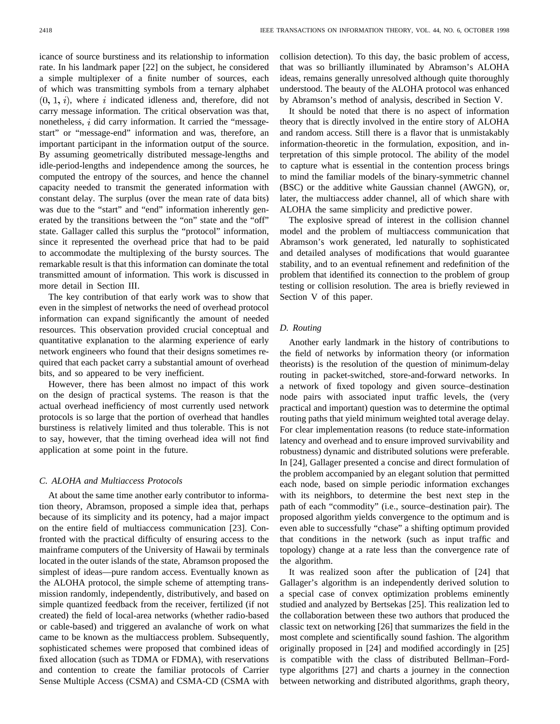icance of source burstiness and its relationship to information rate. In his landmark paper [22] on the subject, he considered a simple multiplexer of a finite number of sources, each of which was transmitting symbols from a ternary alphabet  $(0, 1, i)$ , where i indicated idleness and, therefore, did not carry message information. The critical observation was that, nonetheless,  $i$  did carry information. It carried the "messagestart" or "message-end" information and was, therefore, an important participant in the information output of the source. By assuming geometrically distributed message-lengths and idle-period-lengths and independence among the sources, he computed the entropy of the sources, and hence the channel capacity needed to transmit the generated information with constant delay. The surplus (over the mean rate of data bits) was due to the "start" and "end" information inherently generated by the transitions between the "on" state and the "off" state. Gallager called this surplus the "protocol" information, since it represented the overhead price that had to be paid to accommodate the multiplexing of the bursty sources. The remarkable result is that this information can dominate the total transmitted amount of information. This work is discussed in more detail in Section III.

The key contribution of that early work was to show that even in the simplest of networks the need of overhead protocol information can expand significantly the amount of needed resources. This observation provided crucial conceptual and quantitative explanation to the alarming experience of early network engineers who found that their designs sometimes required that each packet carry a substantial amount of overhead bits, and so appeared to be very inefficient.

However, there has been almost no impact of this work on the design of practical systems. The reason is that the actual overhead inefficiency of most currently used network protocols is so large that the portion of overhead that handles burstiness is relatively limited and thus tolerable. This is not to say, however, that the timing overhead idea will not find application at some point in the future.

## *C. ALOHA and Multiaccess Protocols*

At about the same time another early contributor to information theory, Abramson, proposed a simple idea that, perhaps because of its simplicity and its potency, had a major impact on the entire field of multiaccess communication [23]. Confronted with the practical difficulty of ensuring access to the mainframe computers of the University of Hawaii by terminals located in the outer islands of the state, Abramson proposed the simplest of ideas—pure random access. Eventually known as the ALOHA protocol, the simple scheme of attempting transmission randomly, independently, distributively, and based on simple quantized feedback from the receiver, fertilized (if not created) the field of local-area networks (whether radio-based or cable-based) and triggered an avalanche of work on what came to be known as the multiaccess problem. Subsequently, sophisticated schemes were proposed that combined ideas of fixed allocation (such as TDMA or FDMA), with reservations and contention to create the familiar protocols of Carrier Sense Multiple Access (CSMA) and CSMA-CD (CSMA with collision detection). To this day, the basic problem of access, that was so brilliantly illuminated by Abramson's ALOHA ideas, remains generally unresolved although quite thoroughly understood. The beauty of the ALOHA protocol was enhanced by Abramson's method of analysis, described in Section V.

It should be noted that there is no aspect of information theory that is directly involved in the entire story of ALOHA and random access. Still there is a flavor that is unmistakably information-theoretic in the formulation, exposition, and interpretation of this simple protocol. The ability of the model to capture what is essential in the contention process brings to mind the familiar models of the binary-symmetric channel (BSC) or the additive white Gaussian channel (AWGN), or, later, the multiaccess adder channel, all of which share with ALOHA the same simplicity and predictive power.

The explosive spread of interest in the collision channel model and the problem of multiaccess communication that Abramson's work generated, led naturally to sophisticated and detailed analyses of modifications that would guarantee stability, and to an eventual refinement and redefinition of the problem that identified its connection to the problem of group testing or collision resolution. The area is briefly reviewed in Section V of this paper.

#### *D. Routing*

Another early landmark in the history of contributions to the field of networks by information theory (or information theorists) is the resolution of the question of minimum-delay routing in packet-switched, store-and-forward networks. In a network of fixed topology and given source–destination node pairs with associated input traffic levels, the (very practical and important) question was to determine the optimal routing paths that yield minimum weighted total average delay. For clear implementation reasons (to reduce state-information latency and overhead and to ensure improved survivability and robustness) dynamic and distributed solutions were preferable. In [24], Gallager presented a concise and direct formulation of the problem accompanied by an elegant solution that permitted each node, based on simple periodic information exchanges with its neighbors, to determine the best next step in the path of each "commodity" (i.e., source–destination pair). The proposed algorithm yields convergence to the optimum and is even able to successfully "chase" a shifting optimum provided that conditions in the network (such as input traffic and topology) change at a rate less than the convergence rate of the algorithm.

It was realized soon after the publication of [24] that Gallager's algorithm is an independently derived solution to a special case of convex optimization problems eminently studied and analyzed by Bertsekas [25]. This realization led to the collaboration between these two authors that produced the classic text on networking [26] that summarizes the field in the most complete and scientifically sound fashion. The algorithm originally proposed in [24] and modified accordingly in [25] is compatible with the class of distributed Bellman–Fordtype algorithms [27] and charts a journey in the connection between networking and distributed algorithms, graph theory,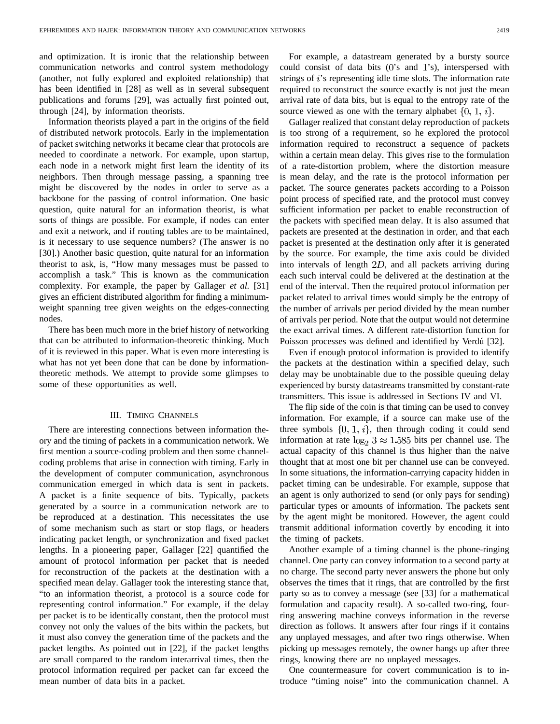and optimization. It is ironic that the relationship between communication networks and control system methodology (another, not fully explored and exploited relationship) that has been identified in [28] as well as in several subsequent publications and forums [29], was actually first pointed out, through [24], by information theorists.

Information theorists played a part in the origins of the field of distributed network protocols. Early in the implementation of packet switching networks it became clear that protocols are needed to coordinate a network. For example, upon startup, each node in a network might first learn the identity of its neighbors. Then through message passing, a spanning tree might be discovered by the nodes in order to serve as a backbone for the passing of control information. One basic question, quite natural for an information theorist, is what sorts of things are possible. For example, if nodes can enter and exit a network, and if routing tables are to be maintained, is it necessary to use sequence numbers? (The answer is no [30].) Another basic question, quite natural for an information theorist to ask, is, "How many messages must be passed to accomplish a task." This is known as the communication complexity. For example, the paper by Gallager *et al.* [31] gives an efficient distributed algorithm for finding a minimumweight spanning tree given weights on the edges-connecting nodes.

There has been much more in the brief history of networking that can be attributed to information-theoretic thinking. Much of it is reviewed in this paper. What is even more interesting is what has not yet been done that can be done by informationtheoretic methods. We attempt to provide some glimpses to some of these opportunities as well.

#### III. TIMING CHANNELS

There are interesting connections between information theory and the timing of packets in a communication network. We first mention a source-coding problem and then some channelcoding problems that arise in connection with timing. Early in the development of computer communication, asynchronous communication emerged in which data is sent in packets. A packet is a finite sequence of bits. Typically, packets generated by a source in a communication network are to be reproduced at a destination. This necessitates the use of some mechanism such as start or stop flags, or headers indicating packet length, or synchronization and fixed packet lengths. In a pioneering paper, Gallager [22] quantified the amount of protocol information per packet that is needed for reconstruction of the packets at the destination with a specified mean delay. Gallager took the interesting stance that, "to an information theorist, a protocol is a source code for representing control information." For example, if the delay per packet is to be identically constant, then the protocol must convey not only the values of the bits within the packets, but it must also convey the generation time of the packets and the packet lengths. As pointed out in [22], if the packet lengths are small compared to the random interarrival times, then the protocol information required per packet can far exceed the mean number of data bits in a packet.

For example, a datastream generated by a bursty source could consist of data bits  $(0's$  and  $1's$ ), interspersed with strings of  $i$ 's representing idle time slots. The information rate required to reconstruct the source exactly is not just the mean arrival rate of data bits, but is equal to the entropy rate of the source viewed as one with the ternary alphabet  $\{0, 1, i\}$ .

Gallager realized that constant delay reproduction of packets is too strong of a requirement, so he explored the protocol information required to reconstruct a sequence of packets within a certain mean delay. This gives rise to the formulation of a rate-distortion problem, where the distortion measure is mean delay, and the rate is the protocol information per packet. The source generates packets according to a Poisson point process of specified rate, and the protocol must convey sufficient information per packet to enable reconstruction of the packets with specified mean delay. It is also assumed that packets are presented at the destination in order, and that each packet is presented at the destination only after it is generated by the source. For example, the time axis could be divided into intervals of length  $2D$ , and all packets arriving during each such interval could be delivered at the destination at the end of the interval. Then the required protocol information per packet related to arrival times would simply be the entropy of the number of arrivals per period divided by the mean number of arrivals per period. Note that the output would not determine the exact arrival times. A different rate-distortion function for Poisson processes was defined and identified by Verdú [32].

Even if enough protocol information is provided to identify the packets at the destination within a specified delay, such delay may be unobtainable due to the possible queuing delay experienced by bursty datastreams transmitted by constant-rate transmitters. This issue is addressed in Sections IV and VI.

The flip side of the coin is that timing can be used to convey information. For example, if a source can make use of the three symbols  $\{0, 1, i\}$ , then through coding it could send information at rate  $log_2 3 \approx 1.585$  bits per channel use. The actual capacity of this channel is thus higher than the naive thought that at most one bit per channel use can be conveyed. In some situations, the information-carrying capacity hidden in packet timing can be undesirable. For example, suppose that an agent is only authorized to send (or only pays for sending) particular types or amounts of information. The packets sent by the agent might be monitored. However, the agent could transmit additional information covertly by encoding it into the timing of packets.

Another example of a timing channel is the phone-ringing channel. One party can convey information to a second party at no charge. The second party never answers the phone but only observes the times that it rings, that are controlled by the first party so as to convey a message (see [33] for a mathematical formulation and capacity result). A so-called two-ring, fourring answering machine conveys information in the reverse direction as follows. It answers after four rings if it contains any unplayed messages, and after two rings otherwise. When picking up messages remotely, the owner hangs up after three rings, knowing there are no unplayed messages.

One countermeasure for covert communication is to introduce "timing noise" into the communication channel. A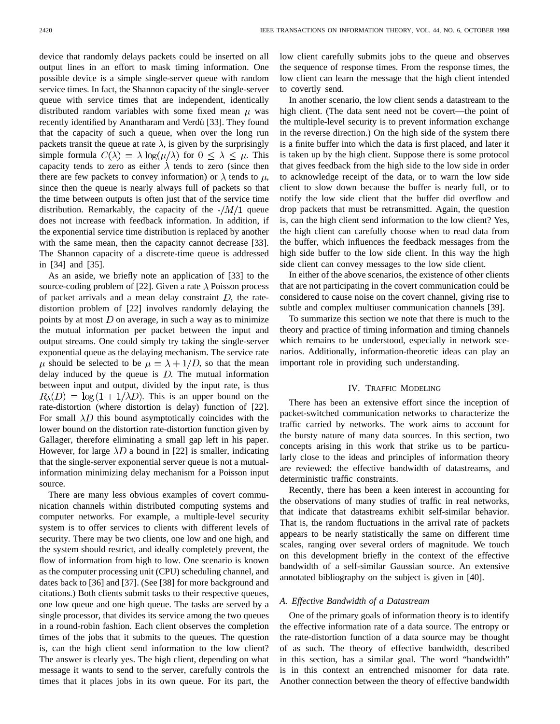device that randomly delays packets could be inserted on all output lines in an effort to mask timing information. One possible device is a simple single-server queue with random service times. In fact, the Shannon capacity of the single-server queue with service times that are independent, identically distributed random variables with some fixed mean  $\mu$  was recently identified by Anantharam and Verdú [33]. They found that the capacity of such a queue, when over the long run packets transit the queue at rate  $\lambda$ , is given by the surprisingly simple formula  $C(\lambda) = \lambda \log(\mu/\lambda)$  for  $0 \leq \lambda \leq \mu$ . This capacity tends to zero as either  $\lambda$  tends to zero (since then there are few packets to convey information) or  $\lambda$  tends to  $\mu$ , since then the queue is nearly always full of packets so that the time between outputs is often just that of the service time distribution. Remarkably, the capacity of the  $\cdot/M/1$  queue does not increase with feedback information. In addition, if the exponential service time distribution is replaced by another with the same mean, then the capacity cannot decrease [33]. The Shannon capacity of a discrete-time queue is addressed in [34] and [35].

As an aside, we briefly note an application of [33] to the source-coding problem of [22]. Given a rate  $\lambda$  Poisson process of packet arrivals and a mean delay constraint  $D$ , the ratedistortion problem of [22] involves randomly delaying the points by at most  $D$  on average, in such a way as to minimize the mutual information per packet between the input and output streams. One could simply try taking the single-server exponential queue as the delaying mechanism. The service rate  $\mu$  should be selected to be  $\mu = \lambda + 1/D$ , so that the mean delay induced by the queue is  $D$ . The mutual information between input and output, divided by the input rate, is thus  $R_{\lambda}(D) = \log(1 + 1/\lambda D)$ . This is an upper bound on the rate-distortion (where distortion is delay) function of [22]. For small  $\lambda D$  this bound asymptotically coincides with the lower bound on the distortion rate-distortion function given by Gallager, therefore eliminating a small gap left in his paper. However, for large  $\lambda D$  a bound in [22] is smaller, indicating that the single-server exponential server queue is not a mutualinformation minimizing delay mechanism for a Poisson input source.

There are many less obvious examples of covert communication channels within distributed computing systems and computer networks. For example, a multiple-level security system is to offer services to clients with different levels of security. There may be two clients, one low and one high, and the system should restrict, and ideally completely prevent, the flow of information from high to low. One scenario is known as the computer processing unit (CPU) scheduling channel, and dates back to [36] and [37]. (See [38] for more background and citations.) Both clients submit tasks to their respective queues, one low queue and one high queue. The tasks are served by a single processor, that divides its service among the two queues in a round-robin fashion. Each client observes the completion times of the jobs that it submits to the queues. The question is, can the high client send information to the low client? The answer is clearly yes. The high client, depending on what message it wants to send to the server, carefully controls the times that it places jobs in its own queue. For its part, the

low client carefully submits jobs to the queue and observes the sequence of response times. From the response times, the low client can learn the message that the high client intended to covertly send.

In another scenario, the low client sends a datastream to the high client. (The data sent need not be covert—the point of the multiple-level security is to prevent information exchange in the reverse direction.) On the high side of the system there is a finite buffer into which the data is first placed, and later it is taken up by the high client. Suppose there is some protocol that gives feedback from the high side to the low side in order to acknowledge receipt of the data, or to warn the low side client to slow down because the buffer is nearly full, or to notify the low side client that the buffer did overflow and drop packets that must be retransmitted. Again, the question is, can the high client send information to the low client? Yes, the high client can carefully choose when to read data from the buffer, which influences the feedback messages from the high side buffer to the low side client. In this way the high side client can convey messages to the low side client.

In either of the above scenarios, the existence of other clients that are not participating in the covert communication could be considered to cause noise on the covert channel, giving rise to subtle and complex multiuser communication channels [39].

To summarize this section we note that there is much to the theory and practice of timing information and timing channels which remains to be understood, especially in network scenarios. Additionally, information-theoretic ideas can play an important role in providing such understanding.

## IV. TRAFFIC MODELING

There has been an extensive effort since the inception of packet-switched communication networks to characterize the traffic carried by networks. The work aims to account for the bursty nature of many data sources. In this section, two concepts arising in this work that strike us to be particularly close to the ideas and principles of information theory are reviewed: the effective bandwidth of datastreams, and deterministic traffic constraints.

Recently, there has been a keen interest in accounting for the observations of many studies of traffic in real networks, that indicate that datastreams exhibit self-similar behavior. That is, the random fluctuations in the arrival rate of packets appears to be nearly statistically the same on different time scales, ranging over several orders of magnitude. We touch on this development briefly in the context of the effective bandwidth of a self-similar Gaussian source. An extensive annotated bibliography on the subject is given in [40].

#### *A. Effective Bandwidth of a Datastream*

One of the primary goals of information theory is to identify the effective information rate of a data source. The entropy or the rate-distortion function of a data source may be thought of as such. The theory of effective bandwidth, described in this section, has a similar goal. The word "bandwidth" is in this context an entrenched misnomer for data rate. Another connection between the theory of effective bandwidth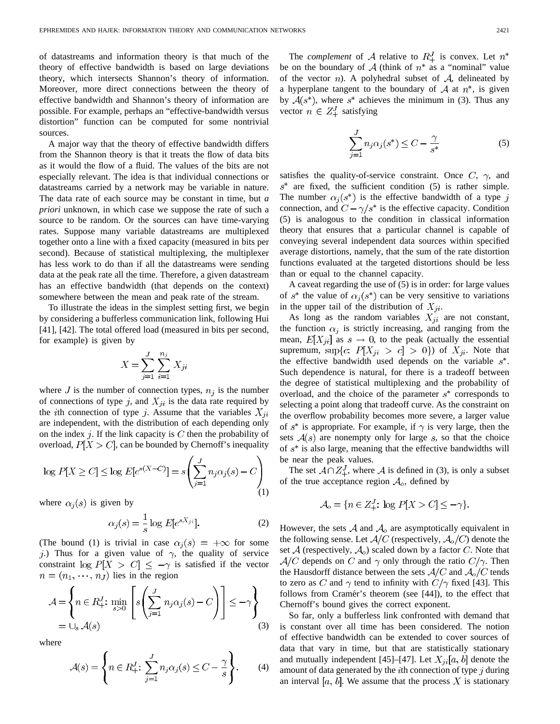of datastreams and information theory is that much of the theory of effective bandwidth is based on large deviations theory, which intersects Shannon's theory of information. Moreover, more direct connections between the theory of effective bandwidth and Shannon's theory of information are possible. For example, perhaps an "effective-bandwidth versus distortion" function can be computed for some nontrivial sources.

A major way that the theory of effective bandwidth differs from the Shannon theory is that it treats the flow of data bits as it would the flow of a fluid. The values of the bits are not especially relevant. The idea is that individual connections or datastreams carried by a network may be variable in nature. The data rate of each source may be constant in time, but *a priori* unknown, in which case we suppose the rate of such a source to be random. Or the sources can have time-varying rates. Suppose many variable datastreams are multiplexed together onto a line with a fixed capacity (measured in bits per second). Because of statistical multiplexing, the multiplexer has less work to do than if all the datastreams were sending data at the peak rate all the time. Therefore, a given datastream has an effective bandwidth (that depends on the context) somewhere between the mean and peak rate of the stream.

To illustrate the ideas in the simplest setting first, we begin by considering a bufferless communication link, following Hui [41], [42]. The total offered load (measured in bits per second, for example) is given by

$$
X = \sum_{j=1}^{J} \sum_{i=1}^{n_j} X_{ji}
$$

where  $J$  is the number of connection types,  $n_j$  is the number of connections of type j, and  $X_{ji}$  is the data rate required by the *i*th connection of type *j*. Assume that the variables  $X_{ji}$ are independent, with the distribution of each depending only on the index  $j$ . If the link capacity is  $C$  then the probability of overload,  $P[X > C]$ , can be bounded by Chernoff's inequality

$$
\log P[X \ge C] \le \log E[e^{s(X-C)}] = s \left( \sum_{j=1}^{J} n_j \alpha_j(s) - C \right)
$$
\n(1)

where  $\alpha_i(s)$  is given by

$$
\alpha_j(s) = \frac{1}{s} \log E[e^{sX_{ji}}].
$$
 (2)

(The bound (1) is trivial in case  $\alpha_j(s) = +\infty$  for some j.) Thus for a given value of  $\gamma$ , the quality of service constraint  $\log P[X > C] \leq -\gamma$  is satisfied if the vector  $n = (n_1, \dots, n_J)$  lies in the region

$$
\mathcal{A} = \left\{ n \in R_+^J : \min_{s>0} \left[ s \left( \sum_{j=1}^J n_j \alpha_j(s) - C \right) \right] \le -\gamma \right\}
$$
  
=  $\cup_s \mathcal{A}(s)$  (3)

where

$$
\mathcal{A}(s) = \left\{ n \in R_+^J : \sum_{j=1}^J n_j \alpha_j(s) \le C - \frac{\gamma}{s} \right\}.
$$
 (4)

The *complement* of A relative to  $R_+^J$  is convex. Let  $n^*$ be on the boundary of  $A$  (think of  $n^*$  as a "nominal" value of the vector  $n$ ). A polyhedral subset of  $A$ , delineated by a hyperplane tangent to the boundary of A at  $n^*$ , is given by  $A(s^*)$ , where  $s^*$  achieves the minimum in (3). Thus any vector  $n \in Z^J_+$  satisfying

$$
\sum_{j=1}^{J} n_j \alpha_j(s^*) \le C - \frac{\gamma}{s^*}
$$
 (5)

satisfies the quality-of-service constraint. Once  $C$ ,  $\gamma$ , and  $s^*$  are fixed, the sufficient condition (5) is rather simple. The number  $\alpha_j(s^*)$  is the effective bandwidth of a type j connection, and  $C - \gamma/s^*$  is the effective capacity. Condition (5) is analogous to the condition in classical information theory that ensures that a particular channel is capable of conveying several independent data sources within specified average distortions, namely, that the sum of the rate distortion functions evaluated at the targeted distortions should be less than or equal to the channel capacity.

A caveat regarding the use of (5) is in order: for large values of  $s^*$  the value of  $\alpha_i(s^*)$  can be very sensitive to variations in the upper tail of the distribution of  $X_{ji}$ .

As long as the random variables  $X_{ji}$  are not constant, the function  $\alpha_i$  is strictly increasing, and ranging from the mean,  $E[X_{ji}]$  as  $s \to 0$ , to the peak (actually the essential supremum,  $\sup\{c: P[X_{ji} > c] > 0\}$  of  $X_{ji}$ . Note that the effective bandwidth used depends on the variable  $s^*$ . Such dependence is natural, for there is a tradeoff between the degree of statistical multiplexing and the probability of overload, and the choice of the parameter  $s^*$  corresponds to selecting a point along that tradeoff curve. As the constraint on the overflow probability becomes more severe, a larger value of  $s^*$  is appropriate. For example, if  $\gamma$  is very large, then the sets  $A(s)$  are nonempty only for large s, so that the choice of  $s^*$  is also large, meaning that the effective bandwidths will be near the peak values.

The set  $A \cap Z_+^J$ , where A is defined in (3), is only a subset of the true acceptance region  $A<sub>o</sub>$ , defined by

$$
\mathcal{A}_o = \{ n \in Z^J_+ : \log P[X > C] \le -\gamma \}
$$

However, the sets  $A$  and  $A_0$  are asymptotically equivalent in the following sense. Let  $A/C$  (respectively,  $A_0/C$ ) denote the set A (respectively,  $A_o$ ) scaled down by a factor C. Note that  $A/C$  depends on C and  $\gamma$  only through the ratio  $C/\gamma$ . Then the Hausdorff distance between the sets  $A/C$  and  $A_0/C$  tends to zero as C and  $\gamma$  tend to infinity with  $C/\gamma$  fixed [43]. This follows from Cramér's theorem (see  $[44]$ ), to the effect that Chernoff's bound gives the correct exponent.

So far, only a bufferless link confronted with demand that is constant over all time has been considered. The notion of effective bandwidth can be extended to cover sources of data that vary in time, but that are statistically stationary and mutually independent [45]–[47]. Let  $X_{ji}[a, b]$  denote the amount of data generated by the  $i$ th connection of type  $j$  during an interval  $[a, b]$ . We assume that the process X is stationary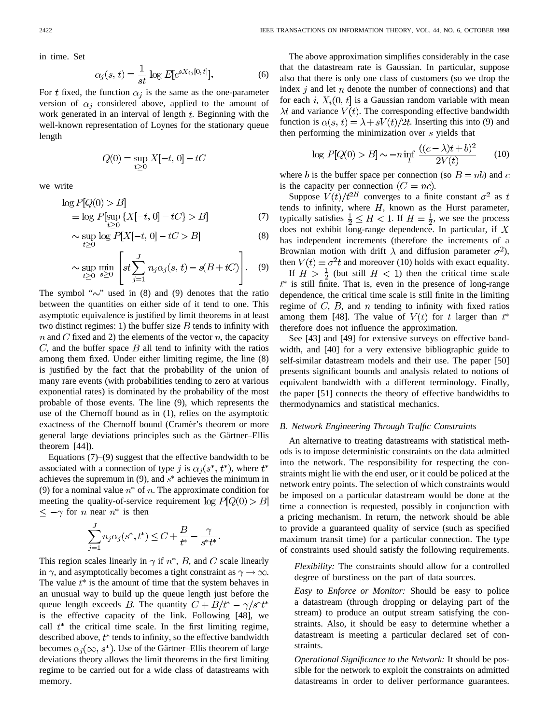in time. Set

$$
\alpha_j(s, t) = \frac{1}{st} \log E[e^{sX_{ij}[0, t]}].
$$
 (6)

For t fixed, the function  $\alpha_i$  is the same as the one-parameter version of  $\alpha_j$  considered above, applied to the amount of work generated in an interval of length  $t$ . Beginning with the well-known representation of Loynes for the stationary queue length

$$
Q(0) = \sup_{t \ge 0} X[-t, 0] - tC
$$

we write

$$
\log P[Q(0) > B] \n= \log P[\sup_{t>0} \{X[-t, 0] - tC\} > B]
$$
\n(7)

$$
\sim \sup_{t \ge 0} \log P[X[-t, 0] - tC > B]
$$
\n(8)

$$
\sim \sup_{t \ge 0} \min_{s \ge 0} \left[ st \sum_{j=1}^{J} n_j \alpha_j(s, t) - s(B + tC) \right]. \quad (9)
$$

The symbol " $\sim$ " used in (8) and (9) denotes that the ratio between the quantities on either side of it tend to one. This asymptotic equivalence is justified by limit theorems in at least two distinct regimes: 1) the buffer size  $B$  tends to infinity with  $n$  and C fixed and 2) the elements of the vector  $n$ , the capacity  $C$ , and the buffer space  $B$  all tend to infinity with the ratios among them fixed. Under either limiting regime, the line (8) is justified by the fact that the probability of the union of many rare events (with probabilities tending to zero at various exponential rates) is dominated by the probability of the most probable of those events. The line (9), which represents the use of the Chernoff bound as in (1), relies on the asymptotic exactness of the Chernoff bound (Cramér's theorem or more general large deviations principles such as the Gärtner–Ellis theorem [44]).

Equations (7)–(9) suggest that the effective bandwidth to be associated with a connection of type j is  $\alpha_i(s^*, t^*)$ , where  $t^*$ achieves the supremum in (9), and  $s^*$  achieves the minimum in (9) for a nominal value  $n^*$  of n. The approximate condition for meeting the quality-of-service requirement  $log P[Q(0) > B]$  $\leq -\gamma$  for *n* near  $n^*$  is then

$$
\sum_{j=1}^{J} n_j \alpha_j(s^*, t^*) \le C + \frac{B}{t^*} - \frac{\gamma}{s^* t^*}.
$$

This region scales linearly in  $\gamma$  if  $n^*$ , B, and C scale linearly in  $\gamma$ , and asymptotically becomes a tight constraint as  $\gamma \to \infty$ . The value  $t^*$  is the amount of time that the system behaves in an unusual way to build up the queue length just before the queue length exceeds B. The quantity  $C + B/t^* - \gamma/s^*t^*$ is the effective capacity of the link. Following [48], we call  $t^*$  the critical time scale. In the first limiting regime, described above,  $t^*$  tends to infinity, so the effective bandwidth becomes  $\alpha_i(\infty, s^*)$ . Use of the Gärtner–Ellis theorem of large deviations theory allows the limit theorems in the first limiting regime to be carried out for a wide class of datastreams with memory.

The above approximation simplifies considerably in the case that the datastream rate is Gaussian. In particular, suppose also that there is only one class of customers (so we drop the index  $j$  and let  $n$  denote the number of connections) and that for each i,  $X_i(0, t]$  is a Gaussian random variable with mean  $\lambda t$  and variance  $V(t)$ . The corresponding effective bandwidth function is  $\alpha(s, t) = \lambda + sV(t)/2t$ . Inserting this into (9) and then performing the minimization over  $s$  yields that

$$
\log P[Q(0) > B] \sim -n \inf_{t} \frac{((c - \lambda)t + b)^2}{2V(t)}
$$
 (10)

where b is the buffer space per connection (so  $B = nb$ ) and c is the capacity per connection  $(C = nc)$ .

Suppose  $V(t)/t^{2H}$  converges to a finite constant  $\sigma^2$  as t tends to infinity, where  $H$ , known as the Hurst parameter, typically satisfies  $\frac{1}{2} \leq H < 1$ . If  $H = \frac{1}{2}$ , we see the process does not exhibit long-range dependence. In particular, if  $X$ has independent increments (therefore the increments of a Brownian motion with drift  $\lambda$  and diffusion parameter  $\sigma^2$ ), then  $V(t) = \sigma^2 t$  and moreover (10) holds with exact equality. If  $H > \frac{1}{2}$  (but still  $H < 1$ ) then the critical time scale  $t^*$  is still finite. That is, even in the presence of long-range dependence, the critical time scale is still finite in the limiting regime of  $C, B$ , and n tending to infinity with fixed ratios among them [48]. The value of  $V(t)$  for t larger than  $t^*$ therefore does not influence the approximation.

See [43] and [49] for extensive surveys on effective bandwidth, and [40] for a very extensive bibliographic guide to self-similar datastream models and their use. The paper [50] presents significant bounds and analysis related to notions of equivalent bandwidth with a different terminology. Finally, the paper [51] connects the theory of effective bandwidths to thermodynamics and statistical mechanics.

### *B. Network Engineering Through Traffic Constraints*

An alternative to treating datastreams with statistical methods is to impose deterministic constraints on the data admitted into the network. The responsibility for respecting the constraints might lie with the end user, or it could be policed at the network entry points. The selection of which constraints would be imposed on a particular datastream would be done at the time a connection is requested, possibly in conjunction with a pricing mechanism. In return, the network should be able to provide a guaranteed quality of service (such as specified maximum transit time) for a particular connection. The type of constraints used should satisfy the following requirements.

*Flexibility:* The constraints should allow for a controlled degree of burstiness on the part of data sources.

*Easy to Enforce or Monitor:* Should be easy to police a datastream (through dropping or delaying part of the stream) to produce an output stream satisfying the constraints. Also, it should be easy to determine whether a datastream is meeting a particular declared set of constraints.

*Operational Significance to the Network:* It should be possible for the network to exploit the constraints on admitted datastreams in order to deliver performance guarantees.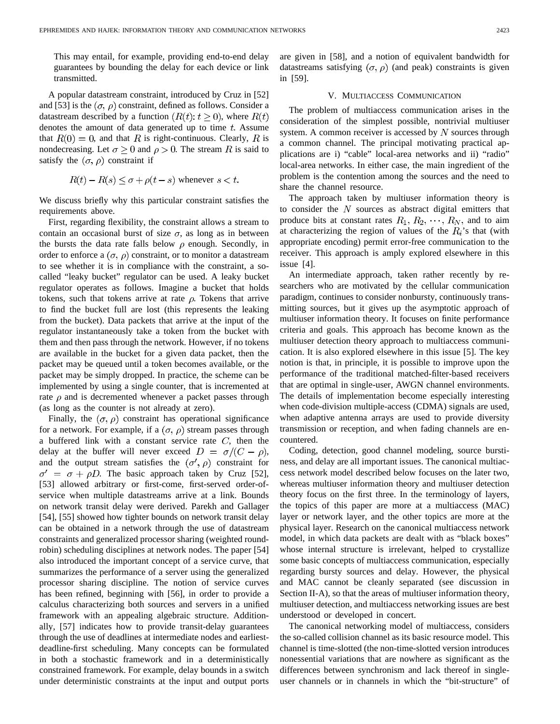This may entail, for example, providing end-to-end delay guarantees by bounding the delay for each device or link transmitted.

A popular datastream constraint, introduced by Cruz in [52] and [53] is the  $(\sigma, \rho)$  constraint, defined as follows. Consider a datastream described by a function  $(R(t): t \ge 0)$ , where  $R(t)$ denotes the amount of data generated up to time  $t$ . Assume that  $R(0) = 0$ , and that R is right-continuous. Clearly, R is nondecreasing. Let  $\sigma \geq 0$  and  $\rho > 0$ . The stream R is said to satisfy the  $(\sigma, \rho)$  constraint if

$$
R(t) - R(s) \le \sigma + \rho(t - s)
$$
 whenever  $s < t$ .

We discuss briefly why this particular constraint satisfies the requirements above.

First, regarding flexibility, the constraint allows a stream to contain an occasional burst of size  $\sigma$ , as long as in between the bursts the data rate falls below  $\rho$  enough. Secondly, in order to enforce a  $(\sigma, \rho)$  constraint, or to monitor a datastream to see whether it is in compliance with the constraint, a socalled "leaky bucket" regulator can be used. A leaky bucket regulator operates as follows. Imagine a bucket that holds tokens, such that tokens arrive at rate  $\rho$ . Tokens that arrive to find the bucket full are lost (this represents the leaking from the bucket). Data packets that arrive at the input of the regulator instantaneously take a token from the bucket with them and then pass through the network. However, if no tokens are available in the bucket for a given data packet, then the packet may be queued until a token becomes available, or the packet may be simply dropped. In practice, the scheme can be implemented by using a single counter, that is incremented at rate  $\rho$  and is decremented whenever a packet passes through (as long as the counter is not already at zero).

Finally, the  $(\sigma, \rho)$  constraint has operational significance for a network. For example, if a  $(\sigma, \rho)$  stream passes through a buffered link with a constant service rate  $C$ , then the delay at the buffer will never exceed  $D = \sigma/(C - \rho)$ , and the output stream satisfies the  $(\sigma', \rho)$  constraint for  $\sigma' = \sigma + \rho D$ . The basic approach taken by Cruz [52], [53] allowed arbitrary or first-come, first-served order-ofservice when multiple datastreams arrive at a link. Bounds on network transit delay were derived. Parekh and Gallager [54], [55] showed how tighter bounds on network transit delay can be obtained in a network through the use of datastream constraints and generalized processor sharing (weighted roundrobin) scheduling disciplines at network nodes. The paper [54] also introduced the important concept of a service curve, that summarizes the performance of a server using the generalized processor sharing discipline. The notion of service curves has been refined, beginning with [56], in order to provide a calculus characterizing both sources and servers in a unified framework with an appealing algebraic structure. Additionally, [57] indicates how to provide transit-delay guarantees through the use of deadlines at intermediate nodes and earliestdeadline-first scheduling. Many concepts can be formulated in both a stochastic framework and in a deterministically constrained framework. For example, delay bounds in a switch under deterministic constraints at the input and output ports are given in [58], and a notion of equivalent bandwidth for datastreams satisfying  $(\sigma, \rho)$  (and peak) constraints is given in [59].

## V. MULTIACCESS COMMUNICATION

The problem of multiaccess communication arises in the consideration of the simplest possible, nontrivial multiuser system. A common receiver is accessed by  $N$  sources through a common channel. The principal motivating practical applications are i) "cable" local-area networks and ii) "radio" local-area networks. In either case, the main ingredient of the problem is the contention among the sources and the need to share the channel resource.

The approach taken by multiuser information theory is to consider the  $N$  sources as abstract digital emitters that produce bits at constant rates  $R_1, R_2, \dots, R_N$ , and to aim at characterizing the region of values of the  $R_i$ 's that (with appropriate encoding) permit error-free communication to the receiver. This approach is amply explored elsewhere in this issue [4].

An intermediate approach, taken rather recently by researchers who are motivated by the cellular communication paradigm, continues to consider nonbursty, continuously transmitting sources, but it gives up the asymptotic approach of multiuser information theory. It focuses on finite performance criteria and goals. This approach has become known as the multiuser detection theory approach to multiaccess communication. It is also explored elsewhere in this issue [5]. The key notion is that, in principle, it is possible to improve upon the performance of the traditional matched-filter-based receivers that are optimal in single-user, AWGN channel environments. The details of implementation become especially interesting when code-division multiple-access (CDMA) signals are used, when adaptive antenna arrays are used to provide diversity transmission or reception, and when fading channels are encountered.

Coding, detection, good channel modeling, source burstiness, and delay are all important issues. The canonical multiaccess network model described below focuses on the later two, whereas multiuser information theory and multiuser detection theory focus on the first three. In the terminology of layers, the topics of this paper are more at a multiaccess (MAC) layer or network layer, and the other topics are more at the physical layer. Research on the canonical multiaccess network model, in which data packets are dealt with as "black boxes" whose internal structure is irrelevant, helped to crystallize some basic concepts of multiaccess communication, especially regarding bursty sources and delay. However, the physical and MAC cannot be cleanly separated (see discussion in Section II-A), so that the areas of multiuser information theory, multiuser detection, and multiaccess networking issues are best understood or developed in concert.

The canonical networking model of multiaccess, considers the so-called collision channel as its basic resource model. This channel is time-slotted (the non-time-slotted version introduces nonessential variations that are nowhere as significant as the differences between synchronism and lack thereof in singleuser channels or in channels in which the "bit-structure" of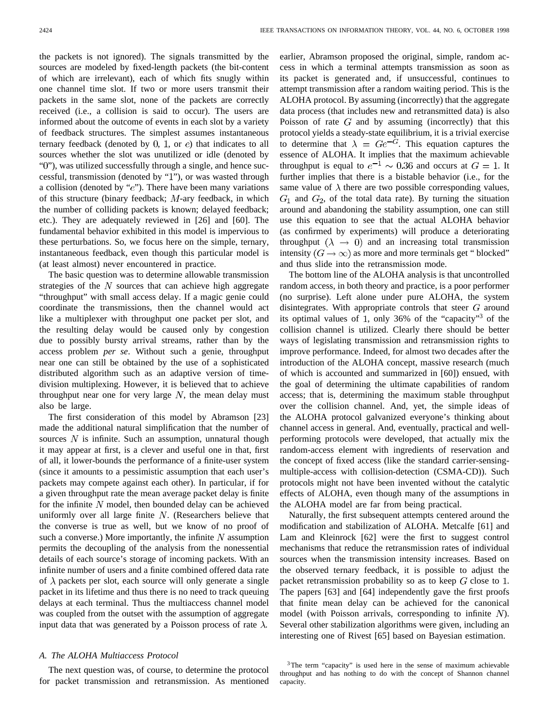the packets is not ignored). The signals transmitted by the sources are modeled by fixed-length packets (the bit-content of which are irrelevant), each of which fits snugly within one channel time slot. If two or more users transmit their packets in the same slot, none of the packets are correctly received (i.e., a collision is said to occur). The users are informed about the outcome of events in each slot by a variety of feedback structures. The simplest assumes instantaneous ternary feedback (denoted by  $0, 1,$  or  $e$ ) that indicates to all sources whether the slot was unutilized or idle (denoted by """""""", was utilized successfully through a single, and hence successful, transmission (denoted by "1"), or was wasted through a collision (denoted by " $e$ "). There have been many variations of this structure (binary feedback;  $M$ -ary feedback, in which the number of colliding packets is known; delayed feedback; etc.). They are adequately reviewed in [26] and [60]. The fundamental behavior exhibited in this model is impervious to these perturbations. So, we focus here on the simple, ternary, instantaneous feedback, even though this particular model is (at least almost) never encountered in practice.

The basic question was to determine allowable transmission strategies of the  $N$  sources that can achieve high aggregate "throughput" with small access delay. If a magic genie could coordinate the transmissions, then the channel would act like a multiplexer with throughput one packet per slot, and the resulting delay would be caused only by congestion due to possibly bursty arrival streams, rather than by the access problem *per se*. Without such a genie, throughput near one can still be obtained by the use of a sophisticated distributed algorithm such as an adaptive version of timedivision multiplexing. However, it is believed that to achieve throughput near one for very large  $N$ , the mean delay must also be large.

The first consideration of this model by Abramson [23] made the additional natural simplification that the number of sources  $N$  is infinite. Such an assumption, unnatural though it may appear at first, is a clever and useful one in that, first of all, it lower-bounds the performance of a finite-user system (since it amounts to a pessimistic assumption that each user's packets may compete against each other). In particular, if for a given throughput rate the mean average packet delay is finite for the infinite  $N$  model, then bounded delay can be achieved uniformly over all large finite  $N$ . (Researchers believe that the converse is true as well, but we know of no proof of such a converse.) More importantly, the infinite  $N$  assumption permits the decoupling of the analysis from the nonessential details of each source's storage of incoming packets. With an infinite number of users and a finite combined offered data rate of  $\lambda$  packets per slot, each source will only generate a single packet in its lifetime and thus there is no need to track queuing delays at each terminal. Thus the multiaccess channel model was coupled from the outset with the assumption of aggregate input data that was generated by a Poisson process of rate  $\lambda$ .

## *A. The ALOHA Multiaccess Protocol*

The next question was, of course, to determine the protocol for packet transmission and retransmission. As mentioned earlier, Abramson proposed the original, simple, random access in which a terminal attempts transmission as soon as its packet is generated and, if unsuccessful, continues to attempt transmission after a random waiting period. This is the ALOHA protocol. By assuming (incorrectly) that the aggregate data process (that includes new and retransmitted data) is also Poisson of rate  $G$  and by assuming (incorrectly) that this protocol yields a steady-state equilibrium, it is a trivial exercise to determine that  $\lambda = Ge^{-G}$ . This equation captures the essence of ALOHA. It implies that the maximum achievable throughput is equal to  $e^{-1} \sim 0.36$  and occurs at  $G = 1$ . It further implies that there is a bistable behavior (i.e., for the same value of  $\lambda$  there are two possible corresponding values,  $G_1$  and  $G_2$ , of the total data rate). By turning the situation around and abandoning the stability assumption, one can still use this equation to see that the actual ALOHA behavior (as confirmed by experiments) will produce a deteriorating throughput  $(\lambda \rightarrow 0)$  and an increasing total transmission intensity  $(G \to \infty)$  as more and more terminals get " blocked" and thus slide into the retransmission mode.

The bottom line of the ALOHA analysis is that uncontrolled random access, in both theory and practice, is a poor performer (no surprise). Left alone under pure ALOHA, the system disintegrates. With appropriate controls that steer  $G$  around its optimal values of 1, only 36% of the "capacity"<sup>3</sup> of the collision channel is utilized. Clearly there should be better ways of legislating transmission and retransmission rights to improve performance. Indeed, for almost two decades after the introduction of the ALOHA concept, massive research (much of which is accounted and summarized in [60]) ensued, with the goal of determining the ultimate capabilities of random access; that is, determining the maximum stable throughput over the collision channel. And, yet, the simple ideas of the ALOHA protocol galvanized everyone's thinking about channel access in general. And, eventually, practical and wellperforming protocols were developed, that actually mix the random-access element with ingredients of reservation and the concept of fixed access (like the standard carrier-sensingmultiple-access with collision-detection (CSMA-CD)). Such protocols might not have been invented without the catalytic effects of ALOHA, even though many of the assumptions in the ALOHA model are far from being practical.

Naturally, the first subsequent attempts centered around the modification and stabilization of ALOHA. Metcalfe [61] and Lam and Kleinrock [62] were the first to suggest control mechanisms that reduce the retransmission rates of individual sources when the transmission intensity increases. Based on the observed ternary feedback, it is possible to adjust the packet retransmission probability so as to keep  $G$  close to 1. The papers [63] and [64] independently gave the first proofs that finite mean delay can be achieved for the canonical model (with Poisson arrivals, corresponding to infinite  $N$ ). Several other stabilization algorithms were given, including an interesting one of Rivest [65] based on Bayesian estimation.

<sup>&</sup>lt;sup>3</sup>The term "capacity" is used here in the sense of maximum achievable throughput and has nothing to do with the concept of Shannon channel capacity.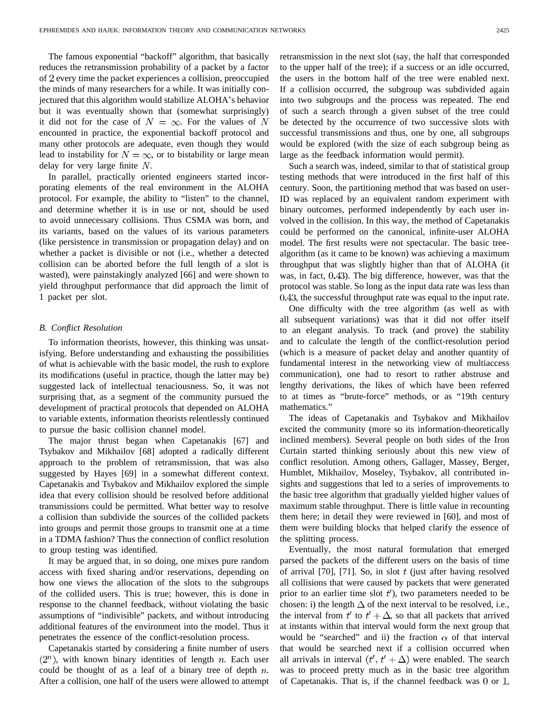The famous exponential "backoff" algorithm, that basically reduces the retransmission probability of a packet by a factor of 2 every time the packet experiences a collision, preoccupied the minds of many researchers for a while. It was initially conjectured that this algorithm would stabilize ALOHA's behavior but it was eventually shown that (somewhat surprisingly) it did not for the case of  $N = \infty$ . For the values of N encounted in practice, the exponential backoff protocol and many other protocols are adequate, even though they would lead to instability for  $N = \infty$ , or to bistability or large mean delay for very large finite  $N$ .

In parallel, practically oriented engineers started incorporating elements of the real environment in the ALOHA protocol. For example, the ability to "listen" to the channel, and determine whether it is in use or not, should be used to avoid unnecessary collisions. Thus CSMA was born, and its variants, based on the values of its various parameters (like persistence in transmission or propagation delay) and on whether a packet is divisible or not (i.e., whether a detected collision can be aborted before the full length of a slot is wasted), were painstakingly analyzed [66] and were shown to yield throughput performance that did approach the limit of 1 packet per slot.

#### *B. Conflict Resolution*

To information theorists, however, this thinking was unsatisfying. Before understanding and exhausting the possibilities of what is achievable with the basic model, the rush to explore its modifications (useful in practice, though the latter may be) suggested lack of intellectual tenaciousness. So, it was not surprising that, as a segment of the community pursued the development of practical protocols that depended on ALOHA to variable extents, information theorists relentlessly continued to pursue the basic collision channel model.

The major thrust began when Capetanakis [67] and Tsybakov and Mikhailov [68] adopted a radically different approach to the problem of retransmission, that was also suggested by Hayes [69] in a somewhat different context. Capetanakis and Tsybakov and Mikhailov explored the simple idea that every collision should be resolved before additional transmissions could be permitted. What better way to resolve a collision than subdivide the sources of the collided packets into groups and permit those groups to transmit one at a time in a TDMA fashion? Thus the connection of conflict resolution to group testing was identified.

It may be argued that, in so doing, one mixes pure random access with fixed sharing and/or reservations, depending on how one views the allocation of the slots to the subgroups of the collided users. This is true; however, this is done in response to the channel feedback, without violating the basic assumptions of "indivisible" packets, and without introducing additional features of the environment into the model. Thus it penetrates the essence of the conflict-resolution process.

Capetanakis started by considering a finite number of users  $(2^n)$ , with known binary identities of length n. Each user could be thought of as a leaf of a binary tree of depth  $n$ . After a collision, one half of the users were allowed to attempt retransmission in the next slot (say, the half that corresponded to the upper half of the tree); if a success or an idle occurred, the users in the bottom half of the tree were enabled next. If a collision occurred, the subgroup was subdivided again into two subgroups and the process was repeated. The end of such a search through a given subset of the tree could be detected by the occurrence of two successive slots with successful transmissions and thus, one by one, all subgroups would be explored (with the size of each subgroup being as large as the feedback information would permit).

Such a search was, indeed, similar to that of statistical group testing methods that were introduced in the first half of this century. Soon, the partitioning method that was based on user-ID was replaced by an equivalent random experiment with binary outcomes, performed independently by each user involved in the collision. In this way, the method of Capetanakis could be performed on the canonical, infinite-user ALOHA model. The first results were not spectacular. The basic treealgorithm (as it came to be known) was achieving a maximum throughput that was slightly higher than that of ALOHA (it was, in fact,  $0.43$ ). The big difference, however, was that the protocol was stable. So long as the input data rate was less than 0.43, the successful throughput rate was equal to the input rate.

One difficulty with the tree algorithm (as well as with all subsequent variations) was that it did not offer itself to an elegant analysis. To track (and prove) the stability and to calculate the length of the conflict-resolution period (which is a measure of packet delay and another quantity of fundamental interest in the networking view of multiaccess communication), one had to resort to rather abstruse and lengthy derivations, the likes of which have been referred to at times as "brute-force" methods, or as "19th century mathematics."

The ideas of Capetanakis and Tsybakov and Mikhailov excited the community (more so its information-theoretically inclined members). Several people on both sides of the Iron Curtain started thinking seriously about this new view of conflict resolution. Among others, Gallager, Massey, Berger, Humblet, Mikhailov, Moseley, Tsybakov, all contributed insights and suggestions that led to a series of improvements to the basic tree algorithm that gradually yielded higher values of maximum stable throughput. There is little value in recounting them here; in detail they were reviewed in [60], and most of them were building blocks that helped clarify the essence of the splitting process.

Eventually, the most natural formulation that emerged parsed the packets of the different users on the basis of time of arrival [70], [71]. So, in slot  $t$  (just after having resolved all collisions that were caused by packets that were generated prior to an earlier time slot  $t'$ ), two parameters needed to be chosen: i) the length  $\Delta$  of the next interval to be resolved, i.e., the interval from  $t'$  to  $t' + \Delta$ , so that all packets that arrived at instants within that interval would form the next group that would be "searched" and ii) the fraction  $\alpha$  of that interval that would be searched next if a collision occurred when all arrivals in interval  $(t', t' + \Delta)$  were enabled. The search was to proceed pretty much as in the basic tree algorithm of Capetanakis. That is, if the channel feedback was  $0$  or  $1$ ,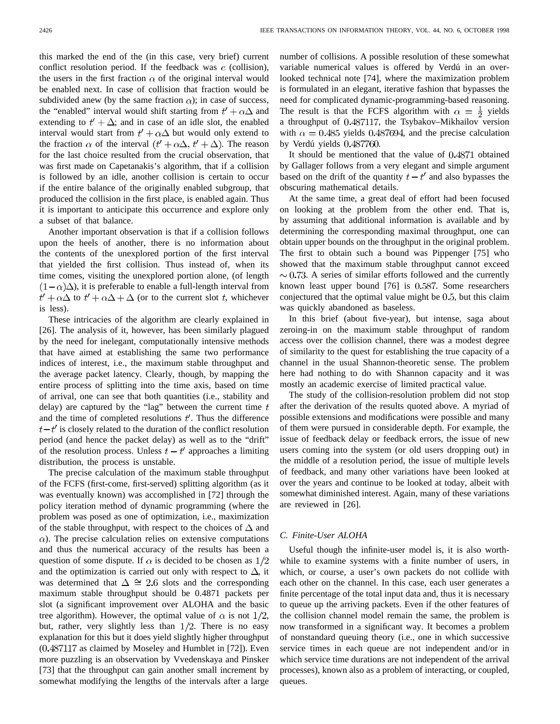this marked the end of the (in this case, very brief) current conflict resolution period. If the feedback was  $e$  (collision), the users in the first fraction  $\alpha$  of the original interval would be enabled next. In case of collision that fraction would be subdivided anew (by the same fraction  $\alpha$ ); in case of success, the "enabled" interval would shift starting from  $t' + \alpha \Delta$  and extending to  $t' + \Delta$ ; and in case of an idle slot, the enabled interval would start from  $t' + \alpha \Delta$  but would only extend to the fraction  $\alpha$  of the interval  $(t' + \alpha \Delta, t' + \Delta)$ . The reason for the last choice resulted from the crucial observation, that was first made on Capetanakis's algorithm, that if a collision is followed by an idle, another collision is certain to occur if the entire balance of the originally enabled subgroup, that produced the collision in the first place, is enabled again. Thus it is important to anticipate this occurrence and explore only a subset of that balance.

Another important observation is that if a collision follows upon the heels of another, there is no information about the contents of the unexplored portion of the first interval that yielded the first collision. Thus instead of, when its time comes, visiting the unexplored portion alone, (of length  $(1-\alpha)\Delta$ ), it is preferable to enable a full-length interval from  $t' + \alpha \Delta$  to  $t' + \alpha \Delta + \Delta$  (or to the current slot t, whichever is less).

These intricacies of the algorithm are clearly explained in [26]. The analysis of it, however, has been similarly plagued by the need for inelegant, computationally intensive methods that have aimed at establishing the same two performance indices of interest, i.e., the maximum stable throughput and the average packet latency. Clearly, though, by mapping the entire process of splitting into the time axis, based on time of arrival, one can see that both quantities (i.e., stability and delay) are captured by the "lag" between the current time  $t$ and the time of completed resolutions  $t'$ . Thus the difference  $t-t'$  is closely related to the duration of the conflict resolution period (and hence the packet delay) as well as to the "drift" of the resolution process. Unless  $t - t'$  approaches a limiting distribution, the process is unstable.

The precise calculation of the maximum stable throughput of the FCFS (first-come, first-served) splitting algorithm (as it was eventually known) was accomplished in [72] through the policy iteration method of dynamic programming (where the problem was posed as one of optimization, i.e., maximization of the stable throughput, with respect to the choices of  $\Delta$  and  $\alpha$ ). The precise calculation relies on extensive computations and thus the numerical accuracy of the results has been a question of some dispute. If  $\alpha$  is decided to be chosen as  $1/2$ and the optimization is carried out only with respect to  $\Delta$ , it was determined that  $\Delta \cong 2.6$  slots and the corresponding maximum stable throughput should be 0.4871 packets per slot (a significant improvement over ALOHA and the basic tree algorithm). However, the optimal value of  $\alpha$  is not 1/2, but, rather, very slightly less than  $1/2$ . There is no easy explanation for this but it does yield slightly higher throughput  $(0.487117$  as claimed by Moseley and Humblet in  $[72]$ ). Even more puzzling is an observation by Vvedenskaya and Pinsker [73] that the throughput can gain another small increment by somewhat modifying the lengths of the intervals after a large

number of collisions. A possible resolution of these somewhat variable numerical values is offered by Verdú in an overlooked technical note [74], where the maximization problem is formulated in an elegant, iterative fashion that bypasses the need for complicated dynamic-programming-based reasoning. The result is that the FCFS algorithm with  $\alpha = \frac{1}{2}$  yields a throughput of 0.487117, the Tsybakov–Mikhailov version with  $\alpha = 0.485$  yields 0.487694, and the precise calculation by Verdú yields  $0.487760$ .

It should be mentioned that the value of  $0.4871$  obtained by Gallager follows from a very elegant and simple argument based on the drift of the quantity  $t - t'$  and also bypasses the obscuring mathematical details.

At the same time, a great deal of effort had been focused on looking at the problem from the other end. That is, by assuming that additional information is available and by determining the corresponding maximal throughput, one can obtain upper bounds on the throughput in the original problem. The first to obtain such a bound was Pippenger [75] who showed that the maximum stable throughput cannot exceed  $\sim$  0.73. A series of similar efforts followed and the currently known least upper bound  $[76]$  is 0.587. Some researchers conjectured that the optimal value might be  $0.5$ , but this claim was quickly abandoned as baseless.

In this brief (about five-year), but intense, saga about zeroing-in on the maximum stable throughput of random access over the collision channel, there was a modest degree of similarity to the quest for establishing the true capacity of a channel in the usual Shannon-theoretic sense. The problem here had nothing to do with Shannon capacity and it was mostly an academic exercise of limited practical value.

The study of the collision-resolution problem did not stop after the derivation of the results quoted above. A myriad of possible extensions and modifications were possible and many of them were pursued in considerable depth. For example, the issue of feedback delay or feedback errors, the issue of new users coming into the system (or old users dropping out) in the middle of a resolution period, the issue of multiple levels of feedback, and many other variations have been looked at over the years and continue to be looked at today, albeit with somewhat diminished interest. Again, many of these variations are reviewed in [26].

#### *C. Finite-User ALOHA*

Useful though the infinite-user model is, it is also worthwhile to examine systems with a finite number of users, in which, or course, a user's own packets do not collide with each other on the channel. In this case, each user generates a finite percentage of the total input data and, thus it is necessary to queue up the arriving packets. Even if the other features of the collision channel model remain the same, the problem is now transformed in a significant way. It becomes a problem of nonstandard queuing theory (i.e., one in which successive service times in each queue are not independent and/or in which service time durations are not independent of the arrival processes), known also as a problem of interacting, or coupled, queues.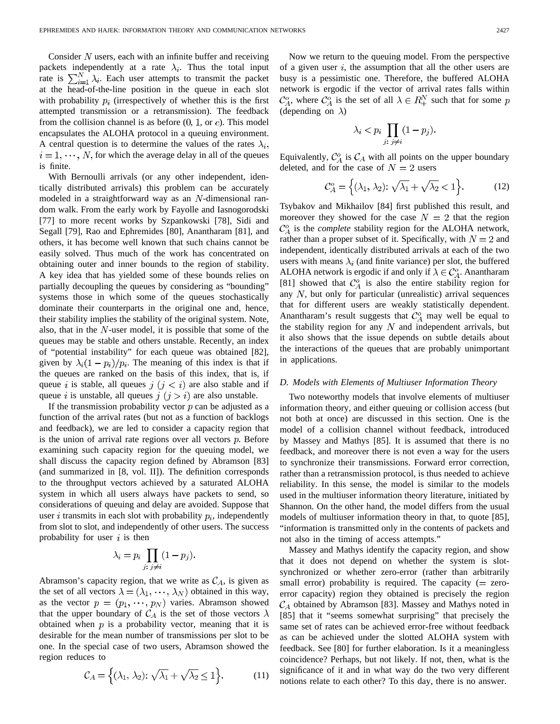Consider  $N$  users, each with an infinite buffer and receiving packets independently at a rate  $\lambda_i$ . Thus the total input rate is  $\sum_{i=1}^{N} \lambda_i$ . Each user attempts to transmit the packet at the head-of-the-line position in the queue in each slot with probability  $p_i$  (irrespectively of whether this is the first attempted transmission or a retransmission). The feedback from the collision channel is as before  $(0, 1, \text{or } e)$ . This model encapsulates the ALOHA protocol in a queuing environment. A central question is to determine the values of the rates  $\lambda_i$ .  $i = 1, \dots, N$ , for which the average delay in all of the queues is finite.

With Bernoulli arrivals (or any other independent, identically distributed arrivals) this problem can be accurately modeled in a straightforward way as an  $N$ -dimensional random walk. From the early work by Fayolle and Iasnogorodski [77] to more recent works by Szpankowski [78], Sidi and Segall [79], Rao and Ephremides [80], Anantharam [81], and others, it has become well known that such chains cannot be easily solved. Thus much of the work has concentrated on obtaining outer and inner bounds to the region of stability. A key idea that has yielded some of these bounds relies on partially decoupling the queues by considering as "bounding" systems those in which some of the queues stochastically dominate their counterparts in the original one and, hence, their stability implies the stability of the original system. Note, also, that in the  $N$ -user model, it is possible that some of the queues may be stable and others unstable. Recently, an index of "potential instability" for each queue was obtained [82], given by  $\lambda_i(1-p_i)/p_i$ . The meaning of this index is that if the queues are ranked on the basis of this index, that is, if queue i is stable, all queues  $j$   $(j < i)$  are also stable and if queue i is unstable, all queues  $j$   $(j > i)$  are also unstable.

If the transmission probability vector  $p$  can be adjusted as a function of the arrival rates (but not as a function of backlogs and feedback), we are led to consider a capacity region that is the union of arrival rate regions over all vectors  $p$ . Before examining such capacity region for the queuing model, we shall discuss the capacity region defined by Abramson [83] (and summarized in [8, vol. II]). The definition corresponds to the throughput vectors achieved by a saturated ALOHA system in which all users always have packets to send, so considerations of queuing and delay are avoided. Suppose that user i transmits in each slot with probability  $p_i$ , independently from slot to slot, and independently of other users. The success probability for user  $i$  is then

$$
\lambda_i = p_i \prod_{j \colon j \neq i} (1 - p_j).
$$

Abramson's capacity region, that we write as  $C_A$ , is given as the set of all vectors  $\lambda = (\lambda_1, \dots, \lambda_N)$  obtained in this way, as the vector  $p = (p_1, \dots, p_N)$  varies. Abramson showed that the upper boundary of  $C_A$  is the set of those vectors  $\lambda$ obtained when  $p$  is a probability vector, meaning that it is desirable for the mean number of transmissions per slot to be one. In the special case of two users, Abramson showed the region reduces to

$$
\mathcal{C}_A = \left\{ (\lambda_1, \lambda_2) : \sqrt{\lambda_1} + \sqrt{\lambda_2} \le 1 \right\}.
$$
 (11)

Now we return to the queuing model. From the perspective of a given user  $i$ , the assumption that all the other users are busy is a pessimistic one. Therefore, the buffered ALOHA network is ergodic if the vector of arrival rates falls within  $\mathcal{C}_{\mathcal{A}}^o$ , where  $\mathcal{C}_{\mathcal{A}}^o$  is the set of all  $\lambda \in \mathbb{R}^N_+$  such that for some p (depending on  $\lambda$ )

$$
\lambda_i < p_i \prod_{j \colon j \neq i} (1 - p_j).
$$

Equivalently,  $C_A^o$  is  $C_A$  with all points on the upper boundary deleted, and for the case of  $N=2$  users

$$
\mathcal{C}_A^o = \left\{ (\lambda_1, \lambda_2) : \sqrt{\lambda_1} + \sqrt{\lambda_2} < 1 \right\}. \tag{12}
$$

Tsybakov and Mikhailov [84] first published this result, and moreover they showed for the case  $N = 2$  that the region  $\mathcal{C}_{4}^{\circ}$  is the *complete* stability region for the ALOHA network, rather than a proper subset of it. Specifically, with  $N = 2$  and independent, identically distributed arrivals at each of the two users with means  $\lambda_i$  (and finite variance) per slot, the buffered ALOHA network is ergodic if and only if  $\lambda \in C^{\circ}_{A}$ . Anantharam [81] showed that  $\mathcal{C}_A^o$  is also the entire stability region for any  $N$ , but only for particular (unrealistic) arrival sequences that for different users are weakly statistically dependent. Anantharam's result suggests that  $\mathcal{C}_A^o$  may well be equal to the stability region for any  $N$  and independent arrivals, but it also shows that the issue depends on subtle details about the interactions of the queues that are probably unimportant in applications.

## *D. Models with Elements of Multiuser Information Theory*

Two noteworthy models that involve elements of multiuser information theory, and either queuing or collision access (but not both at once) are discussed in this section. One is the model of a collision channel without feedback, introduced by Massey and Mathys [85]. It is assumed that there is no feedback, and moreover there is not even a way for the users to synchronize their transmissions. Forward error correction, rather than a retransmission protocol, is thus needed to achieve reliability. In this sense, the model is similar to the models used in the multiuser information theory literature, initiated by Shannon. On the other hand, the model differs from the usual models of multiuser information theory in that, to quote [85], "information is transmitted only in the contents of packets and not also in the timing of access attempts."

Massey and Mathys identify the capacity region, and show that it does not depend on whether the system is slotsynchronized or whether zero-error (rather than arbitrarily small error) probability is required. The capacity  $( = zero$ error capacity) region they obtained is precisely the region  $\mathcal{C}_A$  obtained by Abramson [83]. Massey and Mathys noted in [85] that it "seems somewhat surprising" that precisely the same set of rates can be achieved error-free without feedback as can be achieved under the slotted ALOHA system with feedback. See [80] for further elaboration. Is it a meaningless coincidence? Perhaps, but not likely. If not, then, what is the significance of it and in what way do the two very different notions relate to each other? To this day, there is no answer.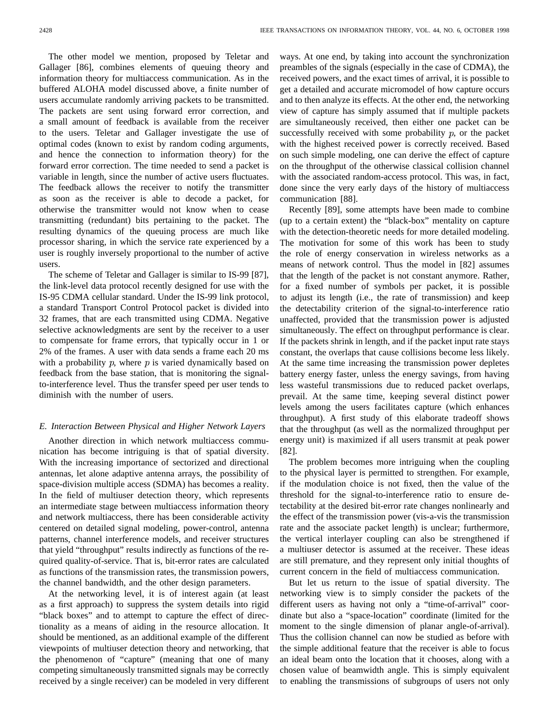The other model we mention, proposed by Teletar and Gallager [86], combines elements of queuing theory and information theory for multiaccess communication. As in the buffered ALOHA model discussed above, a finite number of users accumulate randomly arriving packets to be transmitted. The packets are sent using forward error correction, and a small amount of feedback is available from the receiver to the users. Teletar and Gallager investigate the use of optimal codes (known to exist by random coding arguments, and hence the connection to information theory) for the forward error correction. The time needed to send a packet is variable in length, since the number of active users fluctuates. The feedback allows the receiver to notify the transmitter as soon as the receiver is able to decode a packet, for otherwise the transmitter would not know when to cease transmitting (redundant) bits pertaining to the packet. The resulting dynamics of the queuing process are much like processor sharing, in which the service rate experienced by a user is roughly inversely proportional to the number of active

The scheme of Teletar and Gallager is similar to IS-99 [87], the link-level data protocol recently designed for use with the IS-95 CDMA cellular standard. Under the IS-99 link protocol, a standard Transport Control Protocol packet is divided into 32 frames, that are each transmitted using CDMA. Negative selective acknowledgments are sent by the receiver to a user to compensate for frame errors, that typically occur in 1 or 2% of the frames. A user with data sends a frame each 20 ms with a probability  $p$ , where  $p$  is varied dynamically based on feedback from the base station, that is monitoring the signalto-interference level. Thus the transfer speed per user tends to diminish with the number of users.

## *E. Interaction Between Physical and Higher Network Layers*

Another direction in which network multiaccess communication has become intriguing is that of spatial diversity. With the increasing importance of sectorized and directional antennas, let alone adaptive antenna arrays, the possibility of space-division multiple access (SDMA) has becomes a reality. In the field of multiuser detection theory, which represents an intermediate stage between multiaccess information theory and network multiaccess, there has been considerable activity centered on detailed signal modeling, power-control, antenna patterns, channel interference models, and receiver structures that yield "throughput" results indirectly as functions of the required quality-of-service. That is, bit-error rates are calculated as functions of the transmission rates, the transmission powers, the channel bandwidth, and the other design parameters.

At the networking level, it is of interest again (at least as a first approach) to suppress the system details into rigid "black boxes" and to attempt to capture the effect of directionality as a means of aiding in the resource allocation. It should be mentioned, as an additional example of the different viewpoints of multiuser detection theory and networking, that the phenomenon of "capture" (meaning that one of many competing simultaneously transmitted signals may be correctly received by a single receiver) can be modeled in very different ways. At one end, by taking into account the synchronization preambles of the signals (especially in the case of CDMA), the received powers, and the exact times of arrival, it is possible to get a detailed and accurate micromodel of how capture occurs and to then analyze its effects. At the other end, the networking view of capture has simply assumed that if multiple packets are simultaneously received, then either one packet can be successfully received with some probability  $p$ , or the packet with the highest received power is correctly received. Based on such simple modeling, one can derive the effect of capture on the throughput of the otherwise classical collision channel with the associated random-access protocol. This was, in fact, done since the very early days of the history of multiaccess communication [88].

Recently [89], some attempts have been made to combine (up to a certain extent) the "black-box" mentality on capture with the detection-theoretic needs for more detailed modeling. The motivation for some of this work has been to study the role of energy conservation in wireless networks as a means of network control. Thus the model in [82] assumes that the length of the packet is not constant anymore. Rather, for a fixed number of symbols per packet, it is possible to adjust its length (i.e., the rate of transmission) and keep the detectability criterion of the signal-to-interference ratio unaffected, provided that the transmission power is adjusted simultaneously. The effect on throughput performance is clear. If the packets shrink in length, and if the packet input rate stays constant, the overlaps that cause collisions become less likely. At the same time increasing the transmission power depletes battery energy faster, unless the energy savings, from having less wasteful transmissions due to reduced packet overlaps, prevail. At the same time, keeping several distinct power levels among the users facilitates capture (which enhances throughput). A first study of this elaborate tradeoff shows that the throughput (as well as the normalized throughput per energy unit) is maximized if all users transmit at peak power [82].

The problem becomes more intriguing when the coupling to the physical layer is permitted to strengthen. For example, if the modulation choice is not fixed, then the value of the threshold for the signal-to-interference ratio to ensure detectability at the desired bit-error rate changes nonlinearly and the effect of the transmission power (vis-a-vis the transmission rate and the associate packet length) is unclear; furthermore, the vertical interlayer coupling can also be strengthened if a multiuser detector is assumed at the receiver. These ideas are still premature, and they represent only initial thoughts of current concern in the field of multiaccess communication.

But let us return to the issue of spatial diversity. The networking view is to simply consider the packets of the different users as having not only a "time-of-arrival" coordinate but also a "space-location" coordinate (limited for the moment to the single dimension of planar angle-of-arrival). Thus the collision channel can now be studied as before with the simple additional feature that the receiver is able to focus an ideal beam onto the location that it chooses, along with a chosen value of beamwidth angle. This is simply equivalent to enabling the transmissions of subgroups of users not only

users.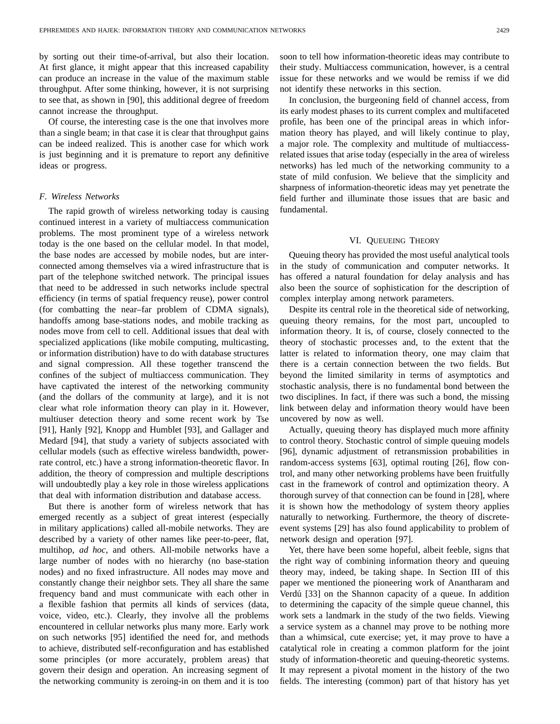by sorting out their time-of-arrival, but also their location. At first glance, it might appear that this increased capability can produce an increase in the value of the maximum stable throughput. After some thinking, however, it is not surprising to see that, as shown in [90], this additional degree of freedom cannot increase the throughput.

Of course, the interesting case is the one that involves more than a single beam; in that case it is clear that throughput gains can be indeed realized. This is another case for which work is just beginning and it is premature to report any definitive ideas or progress.

## *F. Wireless Networks*

The rapid growth of wireless networking today is causing continued interest in a variety of multiaccess communication problems. The most prominent type of a wireless network today is the one based on the cellular model. In that model, the base nodes are accessed by mobile nodes, but are interconnected among themselves via a wired infrastructure that is part of the telephone switched network. The principal issues that need to be addressed in such networks include spectral efficiency (in terms of spatial frequency reuse), power control (for combatting the near–far problem of CDMA signals), handoffs among base-stations nodes, and mobile tracking as nodes move from cell to cell. Additional issues that deal with specialized applications (like mobile computing, multicasting, or information distribution) have to do with database structures and signal compression. All these together transcend the confines of the subject of multiaccess communication. They have captivated the interest of the networking community (and the dollars of the community at large), and it is not clear what role information theory can play in it. However, multiuser detection theory and some recent work by Tse [91], Hanly [92], Knopp and Humblet [93], and Gallager and Medard [94], that study a variety of subjects associated with cellular models (such as effective wireless bandwidth, powerrate control, etc.) have a strong information-theoretic flavor. In addition, the theory of compression and multiple descriptions will undoubtedly play a key role in those wireless applications that deal with information distribution and database access.

But there is another form of wireless network that has emerged recently as a subject of great interest (especially in military applications) called all-mobile networks. They are described by a variety of other names like peer-to-peer, flat, multihop, *ad hoc*, and others. All-mobile networks have a large number of nodes with no hierarchy (no base-station nodes) and no fixed infrastructure. All nodes may move and constantly change their neighbor sets. They all share the same frequency band and must communicate with each other in a flexible fashion that permits all kinds of services (data, voice, video, etc.). Clearly, they involve all the problems encountered in cellular networks plus many more. Early work on such networks [95] identified the need for, and methods to achieve, distributed self-reconfiguration and has established some principles (or more accurately, problem areas) that govern their design and operation. An increasing segment of the networking community is zeroing-in on them and it is too soon to tell how information-theoretic ideas may contribute to their study. Multiaccess communication, however, is a central issue for these networks and we would be remiss if we did not identify these networks in this section.

In conclusion, the burgeoning field of channel access, from its early modest phases to its current complex and multifaceted profile, has been one of the principal areas in which information theory has played, and will likely continue to play, a major role. The complexity and multitude of multiaccessrelated issues that arise today (especially in the area of wireless networks) has led much of the networking community to a state of mild confusion. We believe that the simplicity and sharpness of information-theoretic ideas may yet penetrate the field further and illuminate those issues that are basic and fundamental.

#### VI. QUEUEING THEORY

Queuing theory has provided the most useful analytical tools in the study of communication and computer networks. It has offered a natural foundation for delay analysis and has also been the source of sophistication for the description of complex interplay among network parameters.

Despite its central role in the theoretical side of networking, queuing theory remains, for the most part, uncoupled to information theory. It is, of course, closely connected to the theory of stochastic processes and, to the extent that the latter is related to information theory, one may claim that there is a certain connection between the two fields. But beyond the limited similarity in terms of asymptotics and stochastic analysis, there is no fundamental bond between the two disciplines. In fact, if there was such a bond, the missing link between delay and information theory would have been uncovered by now as well.

Actually, queuing theory has displayed much more affinity to control theory. Stochastic control of simple queuing models [96], dynamic adjustment of retransmission probabilities in random-access systems [63], optimal routing [26], flow control, and many other networking problems have been fruitfully cast in the framework of control and optimization theory. A thorough survey of that connection can be found in [28], where it is shown how the methodology of system theory applies naturally to networking. Furthermore, the theory of discreteevent systems [29] has also found applicability to problem of network design and operation [97].

Yet, there have been some hopeful, albeit feeble, signs that the right way of combining information theory and queuing theory may, indeed, be taking shape. In Section III of this paper we mentioned the pioneering work of Anantharam and Verdú [33] on the Shannon capacity of a queue. In addition to determining the capacity of the simple queue channel, this work sets a landmark in the study of the two fields. Viewing a service system as a channel may prove to be nothing more than a whimsical, cute exercise; yet, it may prove to have a catalytical role in creating a common platform for the joint study of information-theoretic and queuing-theoretic systems. It may represent a pivotal moment in the history of the two fields. The interesting (common) part of that history has yet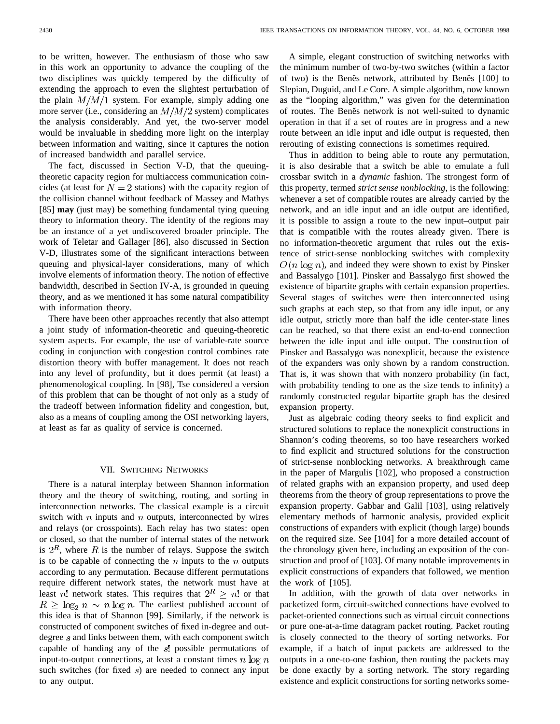to be written, however. The enthusiasm of those who saw in this work an opportunity to advance the coupling of the two disciplines was quickly tempered by the difficulty of extending the approach to even the slightest perturbation of the plain  $M/M/1$  system. For example, simply adding one more server (i.e., considering an  $M/M/2$  system) complicates the analysis considerably. And yet, the two-server model would be invaluable in shedding more light on the interplay between information and waiting, since it captures the notion of increased bandwidth and parallel service.

The fact, discussed in Section V-D, that the queuingtheoretic capacity region for multiaccess communication coincides (at least for  $N = 2$  stations) with the capacity region of the collision channel without feedback of Massey and Mathys [85] **may** (just may) be something fundamental tying queuing theory to information theory. The identity of the regions may be an instance of a yet undiscovered broader principle. The work of Teletar and Gallager [86], also discussed in Section V-D, illustrates some of the significant interactions between queuing and physical-layer considerations, many of which involve elements of information theory. The notion of effective bandwidth, described in Section IV-A, is grounded in queuing theory, and as we mentioned it has some natural compatibility with information theory.

There have been other approaches recently that also attempt a joint study of information-theoretic and queuing-theoretic system aspects. For example, the use of variable-rate source coding in conjunction with congestion control combines rate distortion theory with buffer management. It does not reach into any level of profundity, but it does permit (at least) a phenomenological coupling. In [98], Tse considered a version of this problem that can be thought of not only as a study of the tradeoff between information fidelity and congestion, but, also as a means of coupling among the OSI networking layers, at least as far as quality of service is concerned.

#### VII. SWITCHING NETWORKS

There is a natural interplay between Shannon information theory and the theory of switching, routing, and sorting in interconnection networks. The classical example is a circuit switch with  $n$  inputs and  $n$  outputs, interconnected by wires and relays (or crosspoints). Each relay has two states: open or closed, so that the number of internal states of the network is  $2^R$ , where R is the number of relays. Suppose the switch is to be capable of connecting the  $n$  inputs to the  $n$  outputs according to any permutation. Because different permutations require different network states, the network must have at least n! network states. This requires that  $2^R \geq n!$  or that  $R \geq \log_2 n \sim n \log n$ . The earliest published account of this idea is that of Shannon [99]. Similarly, if the network is constructed of component switches of fixed in-degree and outdegree  $s$  and links between them, with each component switch capable of handing any of the  $s!$  possible permutations of input-to-output connections, at least a constant times  $n \log n$ such switches (for fixed  $s$ ) are needed to connect any input to any output.

A simple, elegant construction of switching networks with the minimum number of two-by-two switches (within a factor of two) is the Benes network, attributed by Benes [100] to Slepian, Duguid, and Le Core. A simple algorithm, now known as the "looping algorithm," was given for the determination of routes. The Benes network is not well-suited to dynamic operation in that if a set of routes are in progress and a new route between an idle input and idle output is requested, then rerouting of existing connections is sometimes required.

Thus in addition to being able to route any permutation, it is also desirable that a switch be able to emulate a full crossbar switch in a *dynamic* fashion. The strongest form of this property, termed *strict sense nonblocking*, is the following: whenever a set of compatible routes are already carried by the network, and an idle input and an idle output are identified, it is possible to assign a route to the new input–output pair that is compatible with the routes already given. There is no information-theoretic argument that rules out the existence of strict-sense nonblocking switches with complexity  $O(n \log n)$ , and indeed they were shown to exist by Pinsker and Bassalygo [101]. Pinsker and Bassalygo first showed the existence of bipartite graphs with certain expansion properties. Several stages of switches were then interconnected using such graphs at each step, so that from any idle input, or any idle output, strictly more than half the idle center-state lines can be reached, so that there exist an end-to-end connection between the idle input and idle output. The construction of Pinsker and Bassalygo was nonexplicit, because the existence of the expanders was only shown by a random construction. That is, it was shown that with nonzero probability (in fact, with probability tending to one as the size tends to infinity) a randomly constructed regular bipartite graph has the desired expansion property.

Just as algebraic coding theory seeks to find explicit and structured solutions to replace the nonexplicit constructions in Shannon's coding theorems, so too have researchers worked to find explicit and structured solutions for the construction of strict-sense nonblocking networks. A breakthrough came in the paper of Margulis [102], who proposed a construction of related graphs with an expansion property, and used deep theorems from the theory of group representations to prove the expansion property. Gabbar and Galil [103], using relatively elementary methods of harmonic analysis, provided explicit constructions of expanders with explicit (though large) bounds on the required size. See [104] for a more detailed account of the chronology given here, including an exposition of the construction and proof of [103]. Of many notable improvements in explicit constructions of expanders that followed, we mention the work of [105].

In addition, with the growth of data over networks in packetized form, circuit-switched connections have evolved to packet-oriented connections such as virtual circuit connections or pure one-at-a-time datagram packet routing. Packet routing is closely connected to the theory of sorting networks. For example, if a batch of input packets are addressed to the outputs in a one-to-one fashion, then routing the packets may be done exactly by a sorting network. The story regarding existence and explicit constructions for sorting networks some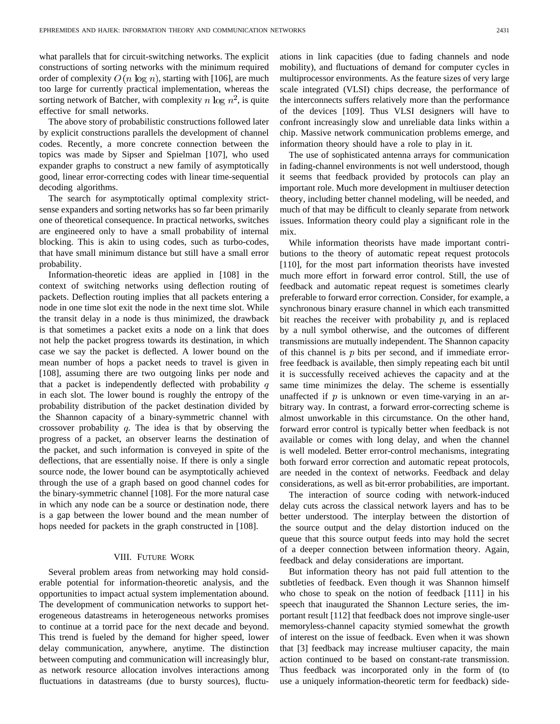what parallels that for circuit-switching networks. The explicit constructions of sorting networks with the minimum required order of complexity  $O(n \log n)$ , starting with [106], are much too large for currently practical implementation, whereas the sorting network of Batcher, with complexity n  $\log n^2$ , is quite effective for small networks.

The above story of probabilistic constructions followed later by explicit constructions parallels the development of channel codes. Recently, a more concrete connection between the topics was made by Sipser and Spielman [107], who used expander graphs to construct a new family of asymptotically good, linear error-correcting codes with linear time-sequential decoding algorithms.

The search for asymptotically optimal complexity strictsense expanders and sorting networks has so far been primarily one of theoretical consequence. In practical networks, switches are engineered only to have a small probability of internal blocking. This is akin to using codes, such as turbo-codes, that have small minimum distance but still have a small error probability.

Information-theoretic ideas are applied in [108] in the context of switching networks using deflection routing of packets. Deflection routing implies that all packets entering a node in one time slot exit the node in the next time slot. While the transit delay in a node is thus minimized, the drawback is that sometimes a packet exits a node on a link that does not help the packet progress towards its destination, in which case we say the packet is deflected. A lower bound on the mean number of hops a packet needs to travel is given in [108], assuming there are two outgoing links per node and that a packet is independently deflected with probability  $q$ in each slot. The lower bound is roughly the entropy of the probability distribution of the packet destination divided by the Shannon capacity of a binary-symmetric channel with crossover probability  $q$ . The idea is that by observing the progress of a packet, an observer learns the destination of the packet, and such information is conveyed in spite of the deflections, that are essentially noise. If there is only a single source node, the lower bound can be asymptotically achieved through the use of a graph based on good channel codes for the binary-symmetric channel [108]. For the more natural case in which any node can be a source or destination node, there is a gap between the lower bound and the mean number of hops needed for packets in the graph constructed in [108].

#### VIII. FUTURE WORK

Several problem areas from networking may hold considerable potential for information-theoretic analysis, and the opportunities to impact actual system implementation abound. The development of communication networks to support heterogeneous datastreams in heterogeneous networks promises to continue at a torrid pace for the next decade and beyond. This trend is fueled by the demand for higher speed, lower delay communication, anywhere, anytime. The distinction between computing and communication will increasingly blur, as network resource allocation involves interactions among fluctuations in datastreams (due to bursty sources), fluctuations in link capacities (due to fading channels and node mobility), and fluctuations of demand for computer cycles in multiprocessor environments. As the feature sizes of very large scale integrated (VLSI) chips decrease, the performance of the interconnects suffers relatively more than the performance of the devices [109]. Thus VLSI designers will have to confront increasingly slow and unreliable data links within a chip. Massive network communication problems emerge, and information theory should have a role to play in it.

The use of sophisticated antenna arrays for communication in fading-channel environments is not well understood, though it seems that feedback provided by protocols can play an important role. Much more development in multiuser detection theory, including better channel modeling, will be needed, and much of that may be difficult to cleanly separate from network issues. Information theory could play a significant role in the mix.

While information theorists have made important contributions to the theory of automatic repeat request protocols [110], for the most part information theorists have invested much more effort in forward error control. Still, the use of feedback and automatic repeat request is sometimes clearly preferable to forward error correction. Consider, for example, a synchronous binary erasure channel in which each transmitted bit reaches the receiver with probability  $p$ , and is replaced by a null symbol otherwise, and the outcomes of different transmissions are mutually independent. The Shannon capacity of this channel is  $p$  bits per second, and if immediate errorfree feedback is available, then simply repeating each bit until it is successfully received achieves the capacity and at the same time minimizes the delay. The scheme is essentially unaffected if  $p$  is unknown or even time-varying in an arbitrary way. In contrast, a forward error-correcting scheme is almost unworkable in this circumstance. On the other hand, forward error control is typically better when feedback is not available or comes with long delay, and when the channel is well modeled. Better error-control mechanisms, integrating both forward error correction and automatic repeat protocols, are needed in the context of networks. Feedback and delay considerations, as well as bit-error probabilities, are important.

The interaction of source coding with network-induced delay cuts across the classical network layers and has to be better understood. The interplay between the distortion of the source output and the delay distortion induced on the queue that this source output feeds into may hold the secret of a deeper connection between information theory. Again, feedback and delay considerations are important.

But information theory has not paid full attention to the subtleties of feedback. Even though it was Shannon himself who chose to speak on the notion of feedback [111] in his speech that inaugurated the Shannon Lecture series, the important result [112] that feedback does not improve single-user memoryless-channel capacity stymied somewhat the growth of interest on the issue of feedback. Even when it was shown that [3] feedback may increase multiuser capacity, the main action continued to be based on constant-rate transmission. Thus feedback was incorporated only in the form of (to use a uniquely information-theoretic term for feedback) side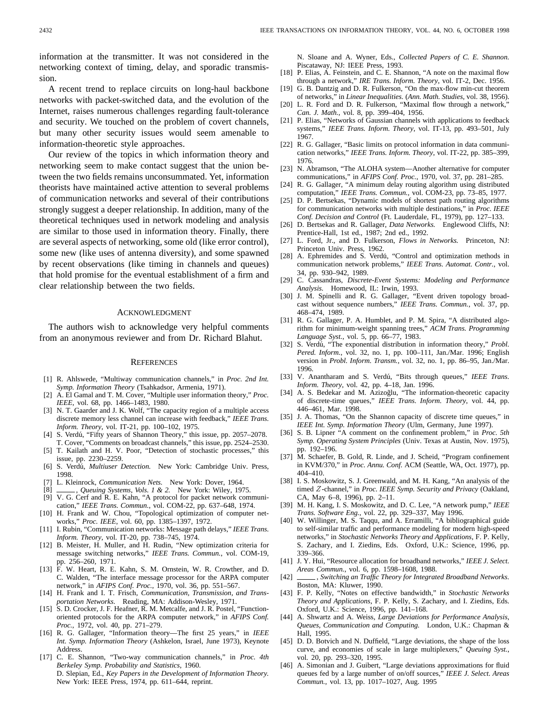information at the transmitter. It was not considered in the networking context of timing, delay, and sporadic transmission.

A recent trend to replace circuits on long-haul backbone networks with packet-switched data, and the evolution of the Internet, raises numerous challenges regarding fault-tolerance and security. We touched on the problem of covert channels, but many other security issues would seem amenable to information-theoretic style approaches.

Our review of the topics in which information theory and networking seem to make contact suggest that the union between the two fields remains unconsummated. Yet, information theorists have maintained active attention to several problems of communication networks and several of their contributions strongly suggest a deeper relationship. In addition, many of the theoretical techniques used in network modeling and analysis are similar to those used in information theory. Finally, there are several aspects of networking, some old (like error control), some new (like uses of antenna diversity), and some spawned by recent observations (like timing in channels and queues) that hold promise for the eventual establishment of a firm and clear relationship between the two fields.

#### ACKNOWLEDGMENT

The authors wish to acknowledge very helpful comments from an anonymous reviewer and from Dr. Richard Blahut.

#### **REFERENCES**

- [1] R. Ahlswede, "Multiway communication channels," in *Proc. 2nd Int. Symp. Information Theory* (Tsahkadsor, Armenia, 1971).
- [2] A. El Gamal and T. M. Cover, "Multiple user information theory," *Proc. IEEE*, vol. 68, pp. 1466–1483, 1980.
- [3] N. T. Gaarder and J. K. Wolf, "The capacity region of a multiple access discrete memory less channel can increase with feedback," *IEEE Trans. Inform. Theory*, vol. IT-21, pp. 100–102, 1975.
- [4] S. Verdú, "Fifty years of Shannon Theory," this issue, pp. 2057–2078. T. Cover, "Comments on broadcast channels," this issue, pp. 2524–2530.
- [5] T. Kailath and H. V. Poor, "Detection of stochastic processes," this issue, pp. 2230–2259.
- [6] S. Verdú, *Multiuser Detection*. New York: Cambridge Univ. Press, 1998.
- [7] L. Kleinrock, *Communication Nets.* New York: Dover, 1964.
- [8] , *Queuing Systems, Vols. 1 & 2.* New York: Wiley, 1975.
- [9] V. G. Cerf and R. E. Kahn, "A protocol for packet network communication," *IEEE Trans. Commun.*, vol. COM-22, pp. 637–648, 1974.
- [10] H. Frank and W. Chou, "Topological optimization of computer networks," *Proc. IEEE*, vol. 60, pp. 1385–1397, 1972.
- [11] I. Rubin, "Communication networks: Message path delays," *IEEE Trans. Inform. Theory*, vol. IT-20, pp. 738–745, 1974.
- [12] B. Meister, H. Muller, and H. Rudin, "New optimization criteria for message switching networks," *IEEE Trans. Commun.*, vol. COM-19, pp. 256–260, 1971.
- [13] F. W. Heart, R. E. Kahn, S. M. Ornstein, W. R. Crowther, and D. C. Walden, "The interface message processor for the ARPA computer network," in *AFIPS Conf. Proc.*, 1970, vol. 36, pp. 551–567.
- [14] H. Frank and I. T. Frisch, *Communication, Transmission, and Transportation Networks.* Reading, MA: Addison-Wesley, 1971.
- [15] S. D. Crocker, J. F. Heafner, R. M. Metcalfe, and J. R. Postel, "Functionoriented protocols for the ARPA computer network," in *AFIPS Conf. Proc.*, 1972, vol. 40, pp. 271–279.
- [16] R. G. Gallager, "Information theory—The first 25 years," in *IEEE Int. Symp. Information Theory* (Ashkelon, Israel, June 1973), Keynote Address.
- [17] C. E. Shannon, "Two-way communication channels," in *Proc. 4th Berkeley Symp. Probability and Statistics*, 1960. D. Slepian, Ed., *Key Papers in the Development of Information Theory.* New York: IEEE Press, 1974, pp. 611–644, reprint.

N. Sloane and A. Wyner, Eds., *Collected Papers of C. E. Shannon.* Piscataway, NJ: IEEE Press, 1993.

- [18] P. Elias, A. Feinstein, and C. E. Shannon, "A note on the maximal flow through a network," *IRE Trans. Inform. Theory*, vol. IT-2, Dec. 1956.
- [19] G. B. Dantzig and D. R. Fulkerson, "On the max-flow min-cut theorem of networks," in *Linear Inequalities.* (*Ann. Math. Studies*, vol. 38, 1956).
- [20] L. R. Ford and D. R. Fulkerson, "Maximal flow through a network," *Can. J. Math.*, vol. 8, pp. 399–404, 1956.
- [21] P. Elias, "Networks of Gaussian channels with applications to feedback systems," *IEEE Trans. Inform. Theory*, vol. IT-13, pp. 493–501, July 1967.
- [22] R. G. Gallager, "Basic limits on protocol information in data communication networks," *IEEE Trans. Inform. Theory*, vol. IT-22, pp. 385–399, 1976.
- [23] N. Abramson, "The ALOHA system—Another alternative for computer communications," in *AFIPS Conf. Proc.*, 1970, vol. 37, pp. 281–285.
- [24] R. G. Gallager, "A minimum delay routing algorithm using distributed computation," *IEEE Trans. Commun.*, vol. COM-23, pp. 73–85, 1977.
- [25] D. P. Bertsekas, "Dynamic models of shortest path routing algorithms for communication networks with multiple destinations," in *Proc. IEEE Conf. Decision and Control* (Ft. Lauderdale, FL, 1979), pp. 127–133.
- [26] D. Bertsekas and R. Gallager, *Data Networks.* Englewood Cliffs, NJ: Prentice-Hall, 1st ed., 1987; 2nd ed., 1992.
- [27] L. Ford, Jr., and D. Fulkerson, *Flows in Networks.* Princeton, NJ: Princeton Univ. Press, 1962.
- [28] A. Ephremides and S. Verdú, "Control and optimization methods in communication network problems," *IEEE Trans. Automat. Contr.*, vol. 34, pp. 930–942, 1989.
- [29] C. Cassandras, *Discrete-Event Systems: Modeling and Performance Analysis.* Homewood, IL: Irwin, 1993.
- [30] J. M. Spinelli and R. G. Gallager, "Event driven topology broadcast without sequence numbers," *IEEE Trans. Commun.*, vol. 37, pp. 468–474, 1989.
- [31] R. G. Gallager, P. A. Humblet, and P. M. Spira, "A distributed algorithm for minimum-weight spanning trees," *ACM Trans. Programming Language Syst.*, vol. 5, pp. 66–77, 1983.
- [32] S. Verdú, "The exponential distribution in information theory," Probl. *Pered. Inform.*, vol. 32, no. 1, pp. 100–111, Jan./Mar. 1996; English version in *Probl. Inform. Transm.*, vol. 32, no. 1, pp. 86–95, Jan./Mar. 1996.
- [33] V. Anantharam and S. Verdú, "Bits through queues," *IEEE Trans. Inform. Theory*, vol. 42, pp. 4–18, Jan. 1996.
- [34] A. S. Bedekar and M. Azizoglu, "The information-theoretic capacity of discrete-time queues," *IEEE Trans. Inform. Theory*, vol. 44, pp. 446–461, Mar. 1998.
- [35] J. A. Thomas, "On the Shannon capacity of discrete time queues," in *IEEE Int. Symp. Information Theory* (Ulm, Germany, June 1997).
- [36] S. B. Lipner "A comment on the confinement problem," in *Proc. 5th Symp. Operating System Principles* (Univ. Texas at Austin, Nov. 1975), pp. 192–196.
- [37] M. Schaefer, B. Gold, R. Linde, and J. Scheid, "Program confinement in KVM/370," in *Proc. Annu. Conf.* ACM (Seattle, WA, Oct. 1977), pp. 404–410.
- [38] I. S. Moskowitz, S. J. Greenwald, and M. H. Kang, "An analysis of the timed Z-channel," in *Proc. IEEE Symp. Security and Privacy* (Oakland, CA, May 6–8, 1996), pp. 2–11.
- [39] M. H. Kang, I. S. Moskowitz, and D. C. Lee, "A network pump," *IEEE Trans. Software Eng.*, vol. 22, pp. 329–337, May 1996.
- [40] W. Willinger, M. S. Taqqu, and A. Erramilli, "A bibliographical guide to self-similar traffic and performance modeling for modern high-speed networks," in *Stochastic Networks Theory and Applications*, F. P. Kelly, S. Zachary, and I. Ziedins, Eds. Oxford, U.K.: Science, 1996, pp. 339–366.
- [41] J. Y. Hui, "Resource allocation for broadband networks," *IEEE J. Select. Areas Commun.*, vol. 6, pp. 1598–1608, 1988.
- [42] \_\_\_\_\_, *Switching an Traffic Theory for Integrated Broadband Networks.* Boston, MA: Kluwer, 1990.
- [43] F. P. Kelly, "Notes on effective bandwidth," in *Stochastic Networks Theory and Applications*, F. P. Kelly, S. Zachary, and I. Ziedins, Eds. Oxford, U.K.: Science, 1996, pp. 141–168.
- [44] A. Shwartz and A. Weiss, *Large Deviations for Performance Analysis, Queues, Communication and Computing.* London, U.K.: Chapman & Hall, 1995.
- [45] D. D. Botvich and N. Duffield, "Large deviations, the shape of the loss curve, and economies of scale in large multiplexers," *Queuing Syst.*, vol. 20, pp. 293–320, 1995.
- [46] A. Simonian and J. Guibert, "Large deviations approximations for fluid queues fed by a large number of on/off sources," *IEEE J. Select. Areas Commun.*, vol. 13, pp. 1017–1027, Aug. 1995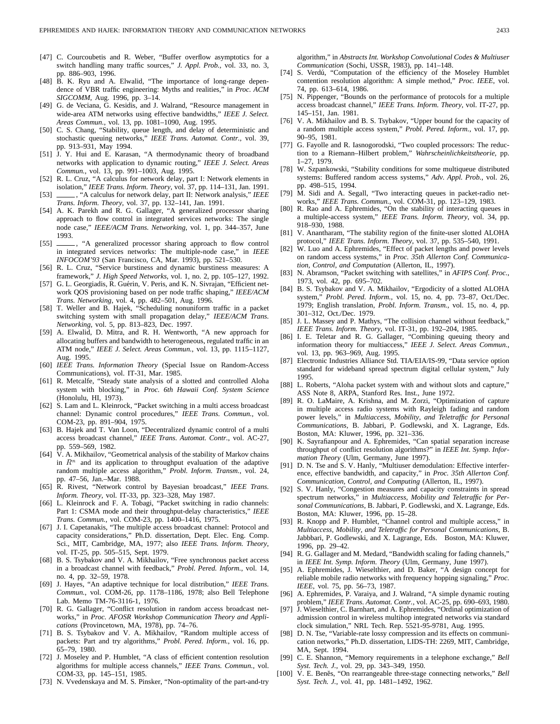- [47] C. Courcoubetis and R. Weber, "Buffer overflow asymptotics for a switch handling many traffic sources," *J. Appl. Prob.*, vol. 33, no. 3, pp. 886–903, 1996.
- [48] B. K. Ryu and A. Elwalid, "The importance of long-range dependence of VBR traffic engineering: Myths and realities," in *Proc. ACM SIGCOMM*, Aug. 1996, pp. 3–14.
- [49] G. de Veciana, G. Kesidis, and J. Walrand, "Resource management in wide-area ATM networks using effective bandwidths," *IEEE J. Select. Areas Commun.*, vol. 13, pp. 1081–1090, Aug. 1995.
- [50] C. S. Chang, "Stability, queue length, and delay of deterministic and stochastic queuing networks," *IEEE Trans. Automat. Contr.*, vol. 39, pp. 913–931, May 1994.
- [51] J. Y. Hui and E. Karasan, "A thermodynamic theory of broadband networks with application to dynamic routing," *IEEE J. Select. Areas Commun.*, vol. 13, pp. 991–1003, Aug. 1995.
- [52] R. L. Cruz, "A calculus for network delay, part I: Network elements in isolation," *IEEE Trans. Inform. Theory,* vol. 37, pp. 114–131, Jan. 1991.
- [53]  $\_\_\_\$ , "A calculus for network delay, part II: Network analysis," *IEEE Trans. Inform. Theory*, vol. 37, pp. 132–141, Jan. 1991.
- [54] A. K. Parekh and R. G. Gallager, "A generalized processor sharing approach to flow control in integrated services networks: The single node case," *IEEE/ACM Trans. Networking*, vol. 1, pp. 344–357, June 1993.
- [55]  $\_\_\_\$ , "A generalized processor sharing approach to flow control in integrated services networks: The multiple-node case," in *IEEE INFOCOM'93* (San Francisco, CA, Mar. 1993), pp. 521–530.
- [56] R. L. Cruz, "Service burstiness and dynamic burstiness measures: A framework," *J. High Speed Networks*, vol. 1, no. 2, pp. 105–127, 1992.
- [57] G. L. Georgiadis, R. Guérin, V. Peris, and K. N. Sivrajan, "Efficient network QOS provisioning based on per node traffic shaping," *IEEE/ACM Trans. Networking*, vol. 4, pp. 482–501, Aug. 1996.
- [58] T. Weller and B. Hajek, "Scheduling nonuniform traffic in a packet switching system with small propagation delay," *IEEE/ACM Trans. Networking*, vol. 5, pp. 813–823, Dec. 1997.
- [59] A. Elwalid, D. Mitra, and R. H. Wentworth, "A new approach for allocating buffers and bandwidth to heterogeneous, regulated traffic in an ATM node," *IEEE J. Select. Areas Commun.*, vol. 13, pp. 1115–1127, Aug. 1995.
- [60] *IEEE Trans. Information Theory* (Special Issue on Random-Access Communications), vol. IT-31, Mar. 1985.
- [61] R. Metcalfe, "Steady state analysis of a slotted and controlled Aloha system with blocking," in *Proc. 6th Hawaii Conf. System Science* (Honolulu, HI, 1973).
- [62] S. Lam and L. Kleinrock, "Packet switching in a multi access broadcast channel: Dynamic control procedures," *IEEE Trans. Commun.*, vol. COM-23, pp. 891–904, 1975.
- [63] B. Hajek and T. Van Loon, "Decentralized dynamic control of a multi access broadcast channel," *IEEE Trans. Automat. Contr.*, vol. AC-27, pp. 559–569, 1982.
- [64]  $\dot{V}$ . A. Mikhailov, "Geometrical analysis of the stability of Markov chains in  $R<sup>n</sup>$  and its application to throughput evaluation of the adaptive random multiple access algorithm," *Probl. Inform. Transm.*, vol. 24, pp. 47–56, Jan.–Mar. 1988.
- [65] R. Rivest, "Network control by Bayesian broadcast," *IEEE Trans. Inform. Theory*, vol. IT-33, pp. 323–328, May 1987.
- [66] L. Kleinrock and F. A. Tobagi, "Packet switching in radio channels: Part 1: CSMA mode and their throughput-delay characteristics," *IEEE Trans. Commun.*, vol. COM-23, pp. 1400–1416, 1975.
- [67] J. I. Capetanakis, "The multiple access broadcast channel: Protocol and capacity considerations," Ph.D. dissertation, Dept. Elec. Eng. Comp. Sci., MIT, Cambridge, MA, 1977; also *IEEE Trans. Inform. Theory*, vol. IT-25, pp. 505–515, Sept. 1979.
- [68] B. S. Tsybakov and V. A. Mikhailov, "Free synchronous packet access in a broadcast channel with feedback," *Probl. Pered. Inform.*, vol. 14, no. 4, pp. 32–59, 1978.
- [69] J. Hayes, "An adaptive technique for local distribution," *IEEE Trans. Commun.*, vol. COM-26, pp. 1178–1186, 1978; also Bell Telephone Lab. Memo TM-76-3116-1, 1976.
- [70] R. G. Gallager, "Conflict resolution in random access broadcast networks," in *Proc. AFOSR Workshop Communication Theory and Applications* (Provincetown, MA, 1978), pp. 74–76.
- [71] B. S. Tsybakov and V. A. Mikhailov, "Random multiple access of packets: Part and try algorithms," *Probl. Pered. Inform.*, vol. 16, pp. 65–79, 1980.
- [72] J. Moseley and P. Humblet, "A class of efficient contention resolution algorithms for multiple access channels," *IEEE Trans. Commun.*, vol. COM-33, pp. 145–151, 1985.
- [73] N. Vvedenskaya and M. S. Pinsker, "Non-optimality of the part-and-try

algorithm," in *Abstracts Int. Workshop Convolutional Codes & Multiuser Communication* (Sochi, USSR, 1983), pp. 141–148.

- [74] S. Verdú, "Computation of the efficiency of the Moseley Humblet contention resolution algorithm: A simple method," *Proc. IEEE*, vol. 74, pp. 613–614, 1986.
- [75] N. Pippenger, "Bounds on the performance of protocols for a multiple access broadcast channel," *IEEE Trans. Inform. Theory*, vol. IT-27, pp. 145–151, Jan. 1981.
- [76] V. A. Mikhailov and B. S. Tsybakov, "Upper bound for the capacity of a random multiple access system," *Probl. Pered. Inform.*, vol. 17, pp. 90–95, 1981.
- [77] G. Fayolle and R. Iasnogorodski, "Two coupled processors: The reduction to a Riemann–Hilbert problem," *Wahrscheinlichkeitstheorie*, pp. 1–27, 1979.
- [78] W. Szpankowski, "Stability conditions for some multiqueue distributed systems: Buffered random access systems," *Adv. Appl. Prob.*, vol. 26, pp. 498–515, 1994.
- [79] M. Sidi and A. Segall, "Two interacting queues in packet-radio networks," *IEEE Trans. Commun.*, vol. COM-31, pp. 123–129, 1983.
- [80] R. Rao and A. Ephremides, "On the stability of interacting queues in a multiple-access system," *IEEE Trans. Inform. Theory*, vol. 34, pp. 918–930, 1988.
- [81] V. Anantharam, "The stability region of the finite-user slotted ALOHA protocol," *IEEE Trans. Inform. Theory*, vol. 37, pp. 535–540, 1991.
- [82] W. Luo and A. Ephremides, "Effect of packet lengths and power levels on random access systems," in *Proc. 35th Allerton Conf. Communication, Control, and Computation* (Allerton, IL, 1997).
- [83] N. Abramson, "Packet switching with satellites," in *AFIPS Conf. Proc.*, 1973, vol. 42, pp. 695–702.
- [84] B. S. Tsybakov and V. A. Mikhailov, "Ergodicity of a slotted ALOHA system," *Probl. Pered. Inform.*, vol. 15, no. 4, pp. 73–87, Oct./Dec. 1979; English translation, *Probl. Inform. Transm.*, vol. 15, no. 4, pp. 301–312, Oct./Dec. 1979.
- [85] J. L. Massey and P. Mathys, "The collision channel without feedback," *IEEE Trans. Inform. Theory*, vol. IT-31, pp. 192–204, 1985.
- [86] I. E. Teletar and R. G. Gallager, "Combining queuing theory and information theory for multiaccess," *IEEE J. Select. Areas Commun.*, vol. 13, pp. 963–969, Aug. 1995.
- [87] Electronic Industries Alliance Std. TIA/EIA/IS-99, "Data service option standard for wideband spread spectrum digital cellular system," July 1995.
- [88] L. Roberts, "Aloha packet system with and without slots and capture," ASS Note 8, ARPA, Stanford Res. Inst., June 1972.
- [89] R. O. LaMaire, A. Krishna, and M. Zorzi, "Optimization of capture in multiple access radio systems with Rayleigh fading and random power levels," in *Multiaccess, Mobility, and Teletraffic for Personal Communications*, B. Jabbari, P. Godlewski, and X. Lagrange, Eds. Boston, MA: Kluwer, 1996, pp. 321–336.
- [90] K. Sayrafianpour and A. Ephremides, "Can spatial separation increase throughput of conflict resolution algorithms?" in *IEEE Int. Symp. Information Theory* (Ulm, Germany, June 1997).
- [91] D. N. Tse and S. V. Hanly, "Multiuser demodulation: Effective interference, effective bandwidth, and capacity," in *Proc. 35th Allerton Conf. Communication, Control, and Computing* (Allerton, IL, 1997).
- [92] S. V. Hanly, "Congestion measures and capacity constraints in spread spectrum networks," in *Multiaccess, Mobility and Teletraffic for Personal Communications*, B. Jabbari, P. Godlewski, and X. Lagrange, Eds. Boston, MA: Kluwer, 1996, pp. 15–28.
- [93] R. Knopp and P. Humblet, "Channel control and multiple access," in *Multiaccess, Mobility, and Teletraffic for Personal Communications*, B. Jabbbari, P. Godlewski, and X. Lagrange, Eds. Boston, MA: Kluwer, 1996, pp. 29–42.
- [94] R. G. Gallager and M. Medard, "Bandwidth scaling for fading channels," in *IEEE Int. Symp. Inform. Theory* (Ulm, Germany, June 1997).
- [95] A. Ephremides, J. Wieselthier, and D. Baker, "A design concept for reliable mobile radio networks with frequency hopping signaling," *Proc. IEEE*, vol. 75, pp. 56–73, 1987.
- [96] A. Ephremides, P. Varaiya, and J. Walrand, "A simple dynamic routing problem," *IEEE Trans. Automat. Contr.*, vol. AC-25, pp. 690–693, 1980.
- [97] J. Wieselthier, C. Barnhart, and A. Ephremides, "Ordinal optimization of admission control in wireless multihop integrated networks via standard clock simulation," NRL Tech. Rep. 5521-95-9781, Aug. 1995.
- [98] D. N. Tse, "Variable-rate lossy compression and its effects on communication networks," Ph.D. dissertation, LIDS-TH: 2269, MIT, Cambridge, MA, Sept. 1994.
- [99] C. E. Shannon, "Memory requirements in a telephone exchange," *Bell Syst. Tech. J.*, vol. 29, pp. 343–349, 1950.
- [100] V. E. Beněs, "On rearrangeable three-stage connecting networks," Bell *Syst. Tech. J.*, vol. 41, pp. 1481–1492, 1962.